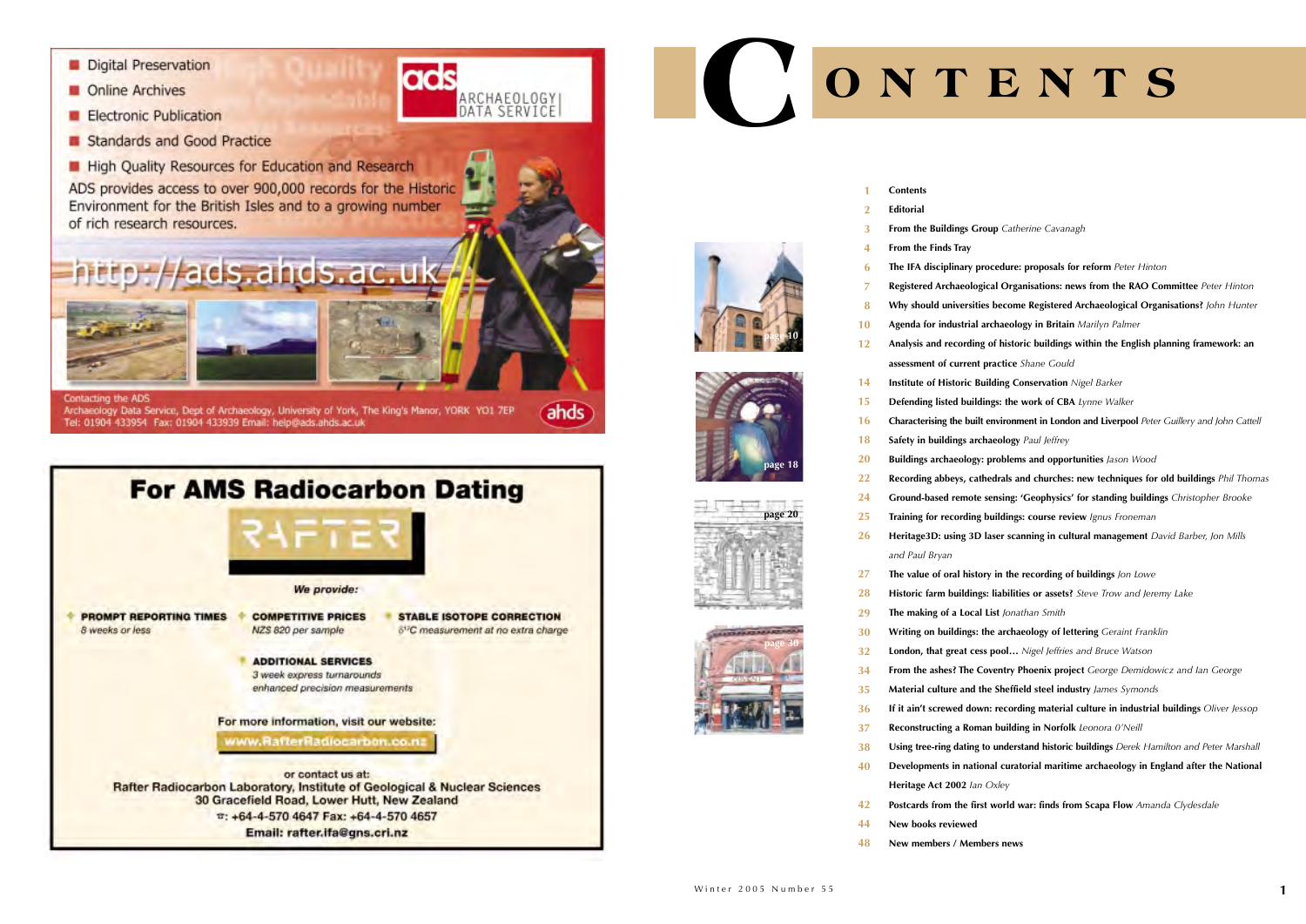- Digital Preservation
- Online Archives
- **Electronic Publication**
- Standards and Good Practice
- **Helph** Quality Resources for Education and Research

ADS provides access to over 900,000 records for the Historic Environment for the British Isles and to a growing number of rich research resources.

ads

ARCHAEOLOGY<br>DATA SERVICE

ahds

Contacting the ADS Archaeology Data Service, Dept of Archaeology, University of York, The King's Manor, YORK YO1 7EP Tel: 01904 433954 Fax: 01904 433939 Email: help@ads.ahds.ac.uk

/ads.ahds.ac.uk



**Contents**

#### **From the Buildings Group** *Catherine Cavanagh*

#### **EditorialFrom the Finds Tray 2**

**The IFA disciplinary procedure: proposals for reform** *Peter Hinton* **Registered Archaeological Organisations: news from the RAO Committee** *Peter Hinton* **Why should universities become Registered Archaeological Organisations?** *John Hunter* **Agenda for industrial archaeology in Britain** *Marilyn Palmer* **Analysis and recording of historic buildings within the English planning framework: an Institute of Historic Building Conservation** *Nigel Barker* **Defending listed buildings: the work of CBA** *Lynne Walker* **Characterising the built environment in London and Liverpool** *Peter Guillery and John Cattell* **Buildings archaeology: problems and opportunities** *Jason Wood* **Recording abbeys, cathedrals and churches: new techniques for old buildings** *Phil Thomas* **Ground-based remote sensing: 'Geophysics' for standing buildings** *Christopher Brooke*  **Training for recording buildings: course review** *Ignus Froneman* **Heritage3D: using 3D laser scanning in cultural management** *David Barber, Jon Mills*  **The value of oral history in the recording of buildings** *Jon Lowe*  **Historic farm buildings: liabilities or assets?** *Steve Trow and Jeremy Lake* **Writing on buildings: the archaeology of lettering** *Geraint Franklin* **London, that great cess pool…** *Nigel Jeffries and Bruce Watson* **From the ashes? The Coventry Phoenix project** *George Demidowicz and Ian George* **Material culture and the Sheffield steel industry** *James Symonds* **If it ain't screwed down: recording material culture in industrial buildings** *Oliver Jessop* **Reconstructing a Roman building in Norfolk** *Leonora 0'Neill* **Using tree-ring dating to understand historic buildings** *Derek Hamilton and Peter Marshall* **Developments in national curatorial maritime archaeology in England after the National Postcards from the first world war: finds from Scapa Flow** *Amanda Clydesdale*

**1**

**3 4 6**

**8**

**12**

**15**

- 
- **7**
- 
- **10**
	- **assessment of current practice** *Shane Gould*
- **Safety in buildings archaeology** *Paul Jeffrey* **14161820222425**
- *and Paul Bryan* **26**
- **The making of a Local List** *Jonathan Smith* **Heritage Act 2002** *Ian Oxley* **New books reviewed New members / Members news27 282930323435 36373840424448**

# **C ONTENTS**







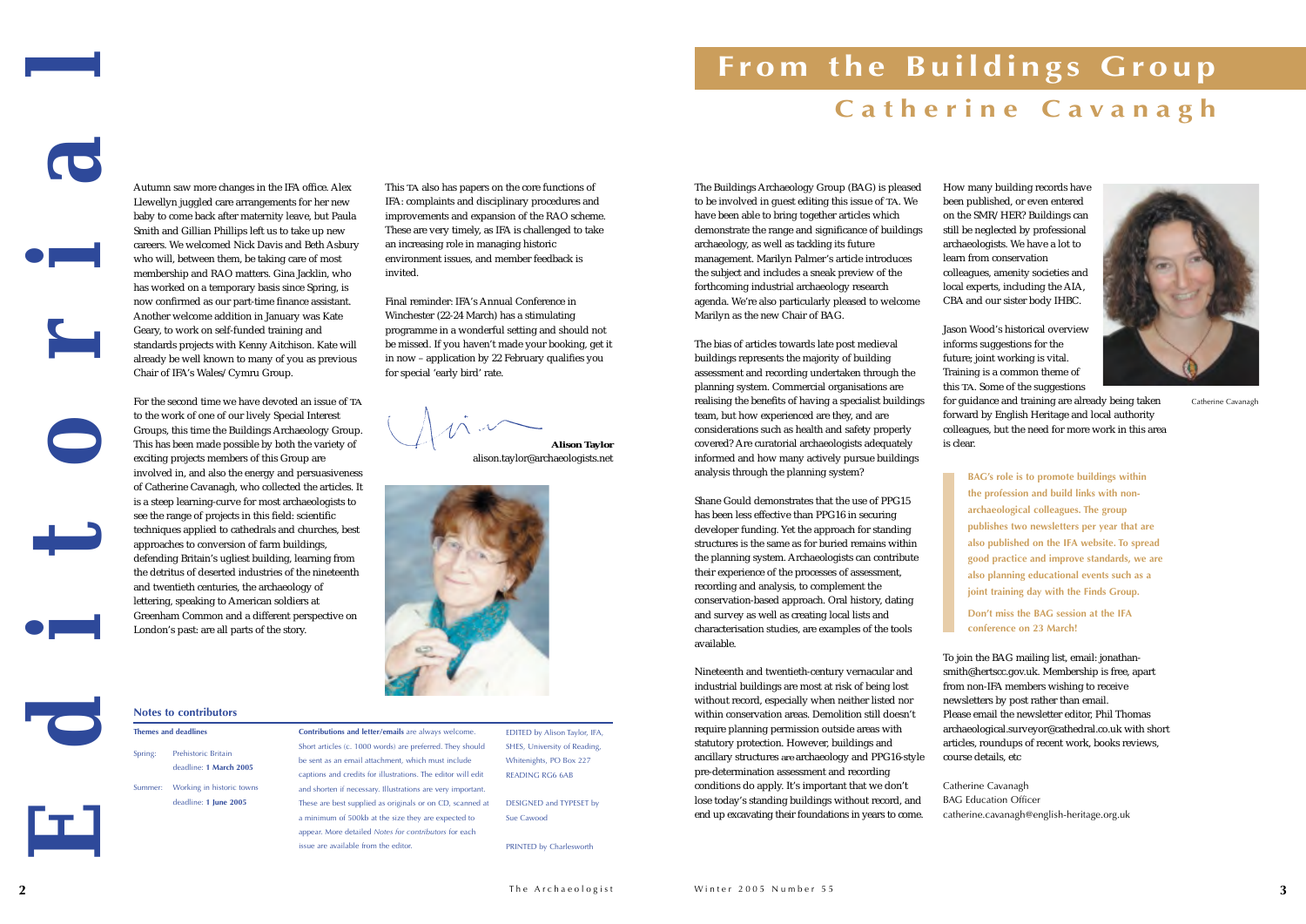# **From the Buildings Group**





Autumn saw more changes in the IFA office. Alex Llewellyn juggled care arrangements for her new

baby to come back after maternity leave, but Paula Smith and Gillian Phillips left us to take up new careers. We welcomed Nick Davis and Beth Asbury who will, between them, be taking care of most membership and RAO matters. Gina Jacklin, who has worked on a temporary basis since Spring, is now confirmed as our part-time finance assistant. Another welcome addition in January was Kate Geary, to work on self-funded training and standards projects with Kenny Aitchison. Kate will already be well known to many of you as previous Chair of IFA's Wales/Cymru Group.

The Buildings Archaeology Group (BAG) is pleased to be involved in guest editing this issue of *TA*. We have been able to bring together articles which demonstrate the range and significance of buildings archaeology, as well as tackling its future management. Marilyn Palmer's article introduces the subject and includes a sneak preview of the forthcoming industrial archaeology research agenda. We're also particularly pleased to welcome Marilyn as the new Chair of BAG.

The bias of articles towards late post medieval buildings represents the majority of building assessment and recording undertaken through the planning system. Commercial organisations are realising the benefits of having a specialist buildings team, but how experienced are they, and are considerations such as health and safety properly covered? Are curatorial archaeologists adequately informed and how many actively pursue buildings analysis through the planning system?

Shane Gould demonstrates that the use of PPG15 has been less effective than PPG16 in securing developer funding. Yet the approach for standing structures is the same as for buried remains within the planning system. Archaeologists can contribute their experience of the processes of assessment, recording and analysis, to complement the conservation-based approach. Oral history, dating and survey as well as creating local lists and characterisation studies, are examples of the tools available.

Nineteenth and twentieth-century vernacular and industrial buildings are most at risk of being lost without record, especially when neither listed nor within conservation areas. Demolition still doesn't require planning permission outside areas with statutory protection. However, buildings and ancillary structures *are* archaeology and PPG16-style pre-determination assessment and recording conditions do apply. It's important that we don't lose today's standing buildings without record, and end up excavating their foundations in years to come.

For the second time we have devoted an issue of *TA* to the work of one of our lively Special Interest Groups, this time the Buildings Archaeology Group. This has been made possible by both the variety of exciting projects members of this Group are involved in, and also the energy and persuasiveness of Catherine Cavanagh, who collected the articles. It is a steep learning-curve for most archaeologists to see the range of projects in this field: scientific techniques applied to cathedrals and churches, best approaches to conversion of farm buildings, defending Britain's ugliest building, learning from the detritus of deserted industries of the nineteenth and twentieth centuries, the archaeology of lettering, speaking to American soldiers at Greenham Common and a different perspective on London's past: are all parts of the story. *Editorial* **Contributions and letter/emails** are always welcome. Short articles (c. 1000 words) are preferred. They should be sent as an email attachment, which must include captions and credits for illustrations. The editor will edit and shorten if necessary. Illustrations are very important. These are best supplied as originals or on CD, scanned at a minimum of 500kb at the size they are expected to appear. More detailed *Notes for contributors* for each issue are available from the editor. EDITED by Alison Taylor, IFA, SHES, University of Reading, Whitenights, PO Box 227 READING RG6 6AB DESIGNED and TYPESET by Sue Cawood PRINTED by Charlesworth **Notes to contributors Themes and deadlines** Spring: Prehistoric Britain deadline: **1 March 2005** Summer: Working in historic towns deadline: **1 June 2005 Catherine Cavanagh**Catherine Cavanagh

How many building records have been published, or even entered on the SMR/HER? Buildings can still be neglected by professional archaeologists. We have a lot to learn from conservation colleagues, amenity societies and local experts, including the AIA, CBA and our sister body IHBC.

Jason Wood's historical overviewinforms suggestions for the future; joint working is vital. Training is a common theme of this *TA*. Some of the suggestions



for guidance and training are already being taken forward by English Heritage and local authority colleagues, but the need for more work in this area

is clear.

**BAG's role is to promote buildings within the profession and build links with nonarchaeological colleagues. The group publishes two newsletters per year that are also published on the IFA website. To spread good practice and improve standards, we are also planning educational events such as a joint training day with the Finds Group.** 

**Don't miss the BAG session at the IFAconference on 23 March!** 

To join the BAG mailing list, email: jonathansmith@hertscc.gov.uk. Membership is free, apart from non-IFA members wishing to receive newsletters by post rather than email. Please email the newsletter editor, Phil Thomas archaeological.surveyor@cathedral.co.uk with short articles, roundups of recent work, books reviews, course details, etc

Catherine Cavanagh BAG Education Officer catherine.cavanagh@english-heritage.org.uk

This *TA* also has papers on the core functions of IFA: complaints and disciplinary procedures and improvements and expansion of the RAO scheme. These are very timely, as IFA is challenged to take an increasing role in managing historic environment issues, and member feedback is invited.

Final reminder: IFA's Annual Conference inWinchester (22-24 March) has a stimulating programme in a wonderful setting and should not be missed. If you haven't made your booking, get it in now – application by 22 February qualifies you for special 'early bird' rate.

**Alison Taylor**

alison.taylor@archaeologists.net



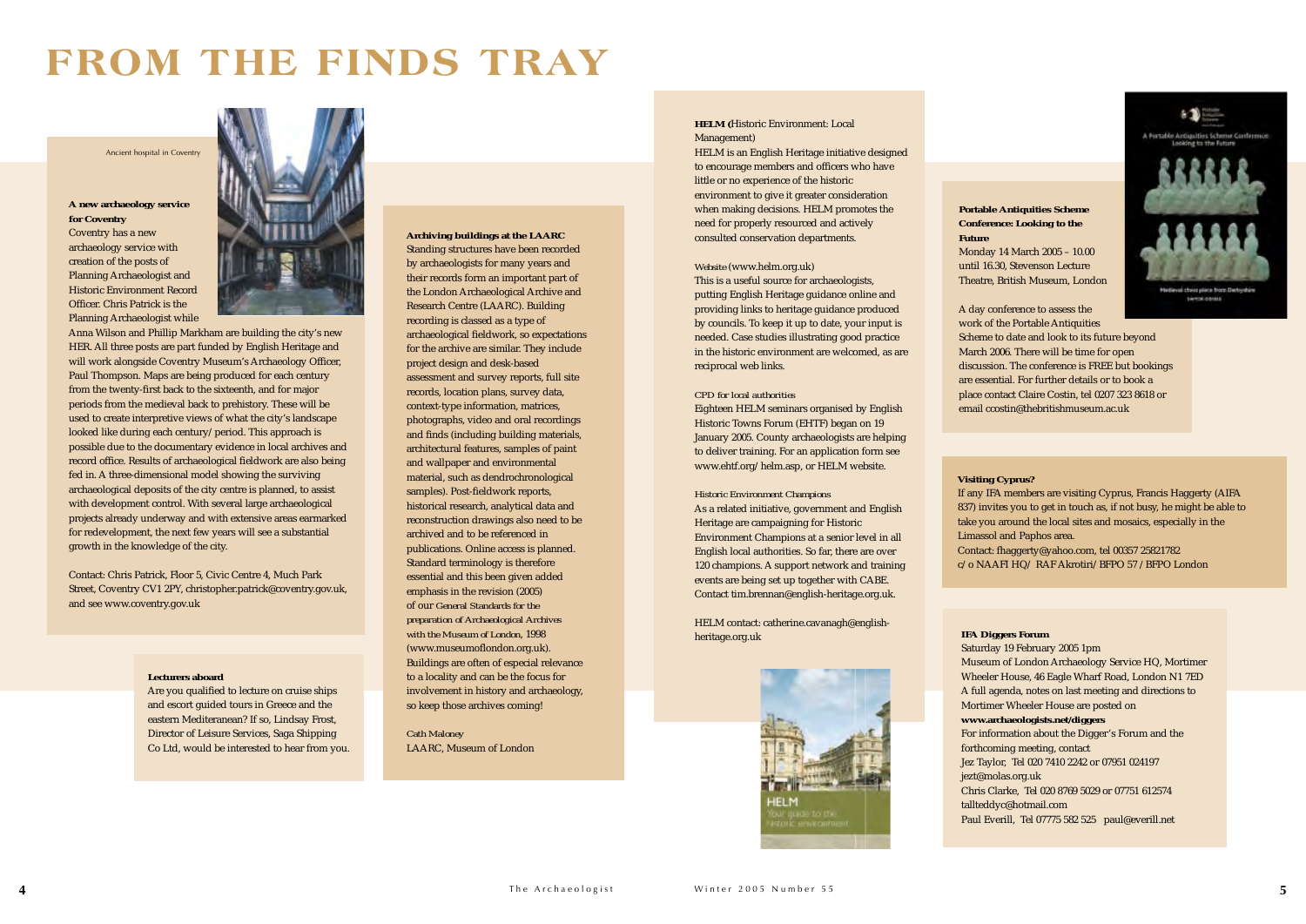The Archaeologist Winter 2005 Number 55 **5**



## **FROM THE FINDS TRAY**

#### **Visiting Cyprus?**

If any IFA members are visiting Cyprus, Francis Haggerty (AIFA 837) invites you to get in touch as, if not busy, he might be able to take you around the local sites and mosaics, especially in the Limassol and Paphos area.

Contact: fhaggerty@yahoo.com, tel 00357 25821782 c/o NAAFI HQ/ RAF Akrotiri/BFPO 57 /BFPO London

**Portable Antiquities Scheme Conference: Looking to the**

**Future**

Monday 14 March 2005 – 10.00 until 16.30, Stevenson Lecture Theatre, British Museum, London

A day conference to assess the work of the Portable Antiquities

Scheme to date and look to its future beyond March 2006. There will be time for open discussion. The conference is FREE but bookings are essential. For further details or to book a place contact Claire Costin, tel 0207 323 8618 or email ccostin@thebritishmuseum.ac.uk

#### **IFA Diggers Forum**

Saturday 19 February 2005 1pm Museum of London Archaeology Service HQ, Mortimer Wheeler House, 46 Eagle Wharf Road, London N1 7ED A full agenda, notes on last meeting and directions to Mortimer Wheeler House are posted on **www.archaeologists.net/diggers**  For information about the Digger's Forum and the forthcoming meeting, contact Jez Taylor, Tel 020 7410 2242 or 07951 024197 jezt@molas.org.uk Chris Clarke, Tel 020 8769 5029 or 07751 612574 tallteddyc@hotmail.com Paul Everill, Tel 07775 582 525 paul@everill.net

#### **Lecturers aboard**

Are you qualified to lecture on cruise ships and escort guided tours in Greece and the eastern Mediteranean? If so, Lindsay Frost, Director of Leisure Services, Saga Shipping Co Ltd, would be interested to hear from you.

#### **A new archaeology service for Coventry**

Coventry has a new archaeology service with creation of the posts of Planning Archaeologist and Historic Environment RecordOfficer. Chris Patrick is thePlanning Archaeologist while



Anna Wilson and Phillip Markham are building the city's new HER. All three posts are part funded by English Heritage and will work alongside Coventry Museum's Archaeology Officer, Paul Thompson. Maps are being produced for each century from the twenty-first back to the sixteenth, and for major periods from the medieval back to prehistory. These will be used to create interpretive views of what the city's landscape looked like during each century/period. This approach is possible due to the documentary evidence in local archives and record office. Results of archaeological fieldwork are also being fed in. A three-dimensional model showing the surviving archaeological deposits of the city centre is planned, to assist with development control. With several large archaeological projects already underway and with extensive areas earmarked for redevelopment, the next few years will see a substantial growth in the knowledge of the city.

Contact: Chris Patrick, Floor 5, Civic Centre 4, Much Park Street, Coventry CV1 2PY, christopher.patrick@coventry.gov.uk, and see www.coventry.gov.uk

#### **HELM (**Historic Environment: Local Management)

HELM is an English Heritage initiative designed to encourage members and officers who have little or no experience of the historic environment to give it greater consideration when making decisions. HELM promotes the need for properly resourced and actively consulted conservation departments.

#### *Website* (www.helm.org.uk)

This is a useful source for archaeologists, putting English Heritage guidance online and providing links to heritage guidance produced by councils. To keep it up to date, your input is needed. Case studies illustrating good practice in the historic environment are welcomed, as are reciprocal web links.

#### *CPD for local authorities*

Eighteen HELM seminars organised by English Historic Towns Forum (EHTF) began on 19 January 2005. County archaeologists are helping to deliver training. For an application form see www.ehtf.org/helm.asp, or HELM website.

#### *Historic Environment Champions*

As a related initiative, government and English Heritage are campaigning for Historic Environment Champions at a senior level in all English local authorities. So far, there are over 120 champions. A support network and training events are being set up together with CABE. Contact tim.brennan@english-heritage.org.uk.

HELM contact: catherine.cavanagh@englishheritage.org.uk



#### **Archiving buildings at the LAARC**

Standing structures have been recorded by archaeologists for many years and their records form an important part of the London Archaeological Archive and Research Centre (LAARC). Building recording is classed as a type of archaeological fieldwork, so expectations for the archive are similar. They include project design and desk-based assessment and survey reports, full site records, location plans, survey data, context-type information, matrices, photographs, video and oral recordings and finds (including building materials, architectural features, samples of paint and wallpaper and environmental material, such as dendrochronological samples). Post-fieldwork reports, historical research, analytical data and reconstruction drawings also need to be archived and to be referenced in publications. Online access is planned. Standard terminology is therefore essential and this been given added emphasis in the revision (2005) of our *General Standards for the preparation of Archaeological Archives with the Museum of London*, 1998 (www.museumoflondon.org.uk). Buildings are often of especial relevance to a locality and can be the focus for involvement in history and archaeology, so keep those archives coming!

*Cath Maloney* LAARC, Museum of London

#### Ancient hospital in Coventry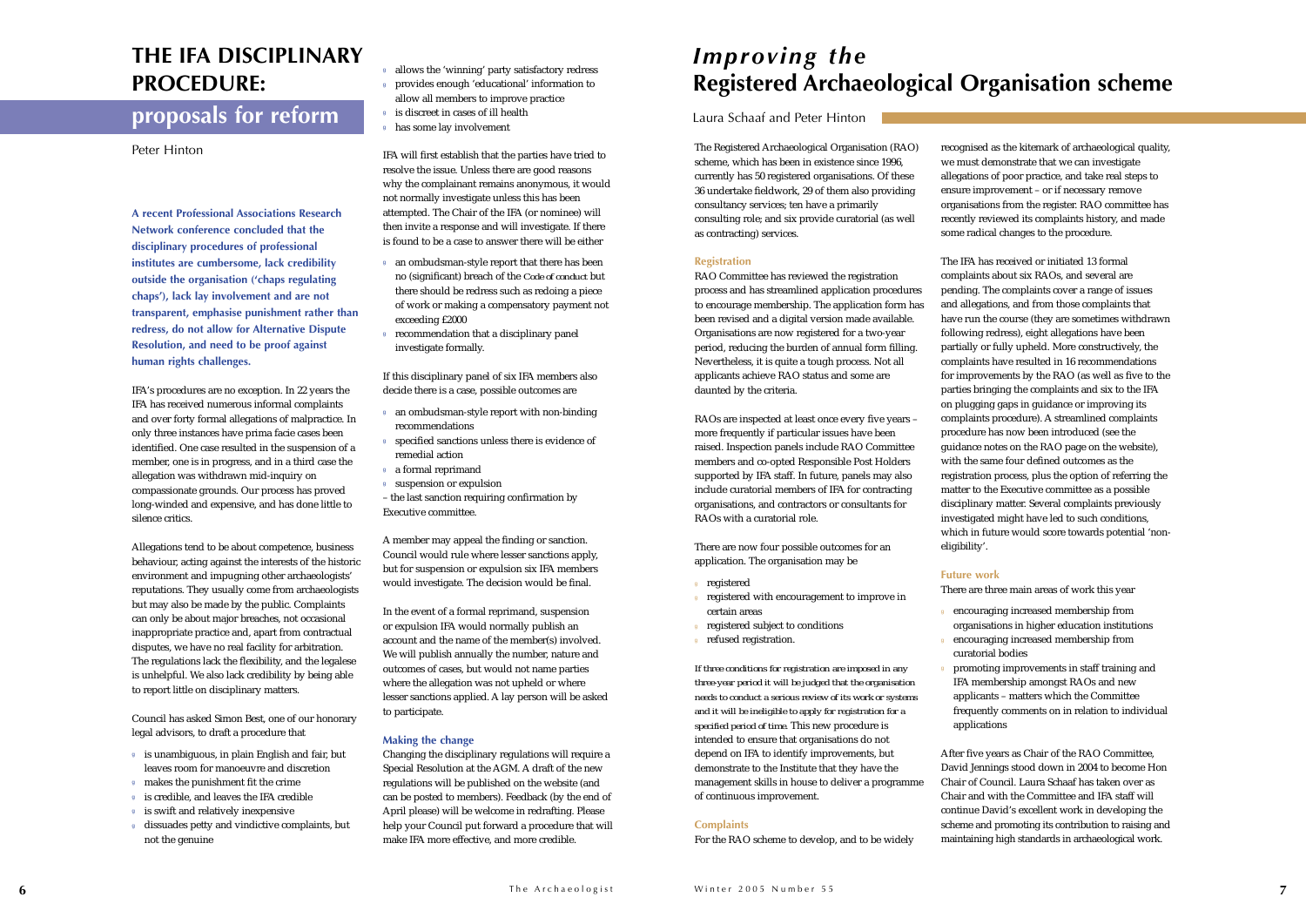**A recent Professional Associations Research Network conference concluded that the disciplinary procedures of professional institutes are cumbersome, lack credibility outside the organisation ('chaps regulating chaps'), lack lay involvement and are not transparent, emphasise punishment rather than redress, do not allow for Alternative Dispute Resolution, and need to be proof against human rights challenges.**

IFA's procedures are no exception. In 22 years the IFA has received numerous informal complaints and over forty formal allegations of malpractice. In only three instances have prima facie cases been identified. One case resulted in the suspension of a member, one is in progress, and in a third case the allegation was withdrawn mid-inquiry on compassionate grounds. Our process has proved long-winded and expensive, and has done little to silence critics.

Allegations tend to be about competence, business behaviour, acting against the interests of the historic environment and impugning other archaeologists' reputations. They usually come from archaeologists but may also be made by the public. Complaints can only be about major breaches, not occasional inappropriate practice and, apart from contractual disputes, we have no real facility for arbitration. The regulations lack the flexibility, and the legalese is unhelpful. We also lack credibility by being able to report little on disciplinary matters.

Council has asked Simon Best, one of our honorary legal advisors, to draft a procedure that

- <sup>g</sup> is unambiguous, in plain English and fair, but leaves room for manoeuvre and discretion
- <sup>g</sup> makes the punishment fit the crime
- <sup>g</sup> is credible, and leaves the IFA credible
- <sup>g</sup> is swift and relatively inexpensive
- <sup>g</sup> dissuades petty and vindictive complaints, but not the genuine
- <sup>g</sup> allows the 'winning' party satisfactory redress
- <sup>g</sup> provides enough 'educational' information to allow all members to improve practice
- <sup>g</sup> is discreet in cases of ill health
- <sup>g</sup> has some lay involvement

IFA will first establish that the parties have tried to resolve the issue. Unless there are good reasons why the complainant remains anonymous, it would not normally investigate unless this has been attempted. The Chair of the IFA (or nominee) will then invite a response and will investigate. If there is found to be a case to answer there will be either

- <sup>g</sup> an ombudsman-style report that there has been no (significant) breach of the *Code of conduct* but there should be redress such as redoing a piece of work or making a compensatory payment not exceeding £2000
- <sup>g</sup> recommendation that a disciplinary panel investigate formally.

If this disciplinary panel of six IFA members also decide there is a case, possible outcomes are

- <sup>g</sup> an ombudsman-style report with non-binding recommendations
- <sup>g</sup> specified sanctions unless there is evidence of remedial action
- <sup>g</sup> a formal reprimand
- <sup>g</sup> suspension or expulsion

– the last sanction requiring confirmation by Executive committee.

A member may appeal the finding or sanction. Council would rule where lesser sanctions apply, but for suspension or expulsion six IFA members would investigate. The decision would be final.

In the event of a formal reprimand, suspension or expulsion IFA would normally publish an account and the name of the member(s) involved. We will publish annually the number, nature and outcomes of cases, but would not name parties where the allegation was not upheld or where lesser sanctions applied. A lay person will be asked to participate.

#### **Making the change**

Changing the disciplinary regulations will require a Special Resolution at the AGM. A draft of the new regulations will be published on the website (and can be posted to members). Feedback (by the end of April please) will be welcome in redrafting. Please help your Council put forward a procedure that will make IFA more effective, and more credible.

promoting improvements in staff training and IFA membership amongst RAOs and new applicants – matters which the Committee frequently comments on in relation to individual applications

The Registered Archaeological Organisation (RAO) scheme, which has been in existence since 1996, currently has 50 registered organisations. Of these 36 undertake fieldwork, 29 of them also providing consultancy services; ten have a primarily consulting role; and six provide curatorial (as well as contracting) services.

#### **Registration**

RAO Committee has reviewed the registration process and has streamlined application procedures to encourage membership. The application form has been revised and a digital version made available. Organisations are now registered for a two-year period, reducing the burden of annual form filling. Nevertheless, it is quite a tough process. Not all applicants achieve RAO status and some are daunted by the criteria.

RAOs are inspected at least once every five years – more frequently if particular issues have been raised. Inspection panels include RAO Committee members and co-opted Responsible Post Holders supported by IFA staff. In future, panels may also include curatorial members of IFA for contracting organisations, and contractors or consultants for RAOs with a curatorial role.

There are now four possible outcomes for an application. The organisation may be

- **registered**
- registered with encouragement to improve in certain areas
- registered subject to conditions
- refused registration.

*If three conditions for registration are imposed in any three-year period it will be judged that the organisation needs to conduct a serious review of its work or systems and it will be ineligible to apply for registration for a specified period of time.* This new procedure is intended to ensure that organisations do not depend on IFA to identify improvements, but demonstrate to the Institute that they have the management skills in house to deliver a programme of continuous improvement.

#### **Complaints**

For the RAO scheme to develop, and to be widely

recognised as the kitemark of archaeological quality, we must demonstrate that we can investigate allegations of poor practice, and take real steps to ensure improvement – or if necessary remove organisations from the register. RAO committee has recently reviewed its complaints history, and made some radical changes to the procedure.

The IFA has received or initiated 13 formalcomplaints about six RAOs, and several are pending. The complaints cover a range of issues and allegations, and from those complaints that have run the course (they are sometimes withdrawn following redress), eight allegations have been partially or fully upheld. More constructively, the complaints have resulted in 16 recommendations for improvements by the RAO (as well as five to the parties bringing the complaints and six to the IFA on plugging gaps in guidance or improving its complaints procedure). A streamlined complaints procedure has now been introduced (see the guidance notes on the RAO page on the website), with the same four defined outcomes as the registration process, plus the option of referring the matter to the Executive committee as a possible disciplinary matter. Several complaints previously investigated might have led to such conditions, which in future would score towards potential 'non-

eligibility'.

### **Future work**

- 
- 

There are three main areas of work this year

<sup>g</sup> encouraging increased membership from organisations in higher education institutions encouraging increased membership from curatorial bodies

After five years as Chair of the RAO Committee, David Jennings stood down in 2004 to become Hon Chair of Council. Laura Schaaf has taken over asChair and with the Committee and IFA staff will continue David's excellent work in developing the scheme and promoting its contribution to raising and maintaining high standards in archaeological work.

### *Improving the* **Registered Archaeological Organisation scheme**

#### Laura Schaaf and Peter Hinton

### **THE IFA DISCIPLINARY PROCEDURE:**

### **proposals for reform**

Peter Hinton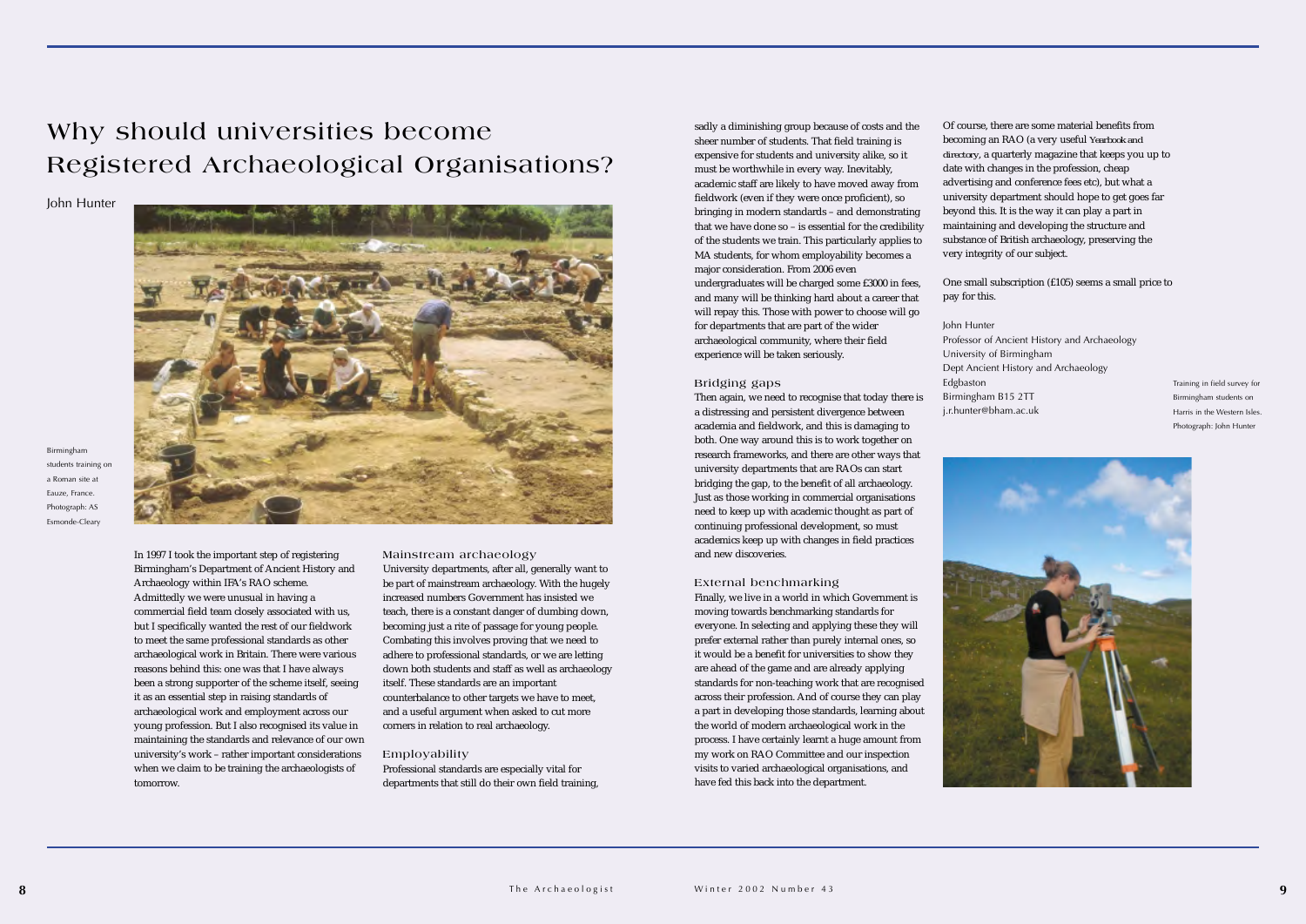Of course, there are some material benefits from becoming an RAO (a very useful *Yearbook and directory*, a quarterly magazine that keeps you up to date with changes in the profession, cheap advertising and conference fees etc), but what a university department should hope to get goes far beyond this. It is the way it can play a part in maintaining and developing the structure and substance of British archaeology, preserving the very integrity of our subject.

One small subscription (£105) seems a small price to

pay for this.

Professor of Ancient History and Archaeology Dept Ancient History and Archaeology

John Hunter University of Birmingham Edgbaston Birmingham B15 2TT j.r.hunter@bham.ac.uk

In 1997 I took the important step of registering Birmingham's Department of Ancient History and Archaeology within IFA's RAO scheme. Admittedly we were unusual in having a commercial field team closely associated with us, but I specifically wanted the rest of our fieldwork to meet the same professional standards as other archaeological work in Britain. There were various reasons behind this: one was that I have always been a strong supporter of the scheme itself, seeing it as an essential step in raising standards of archaeological work and employment across our young profession. But I also recognised its value in maintaining the standards and relevance of our own university's work – rather important considerations when we claim to be training the archaeologists of tomorrow.

#### **Mainstream archaeology**

University departments, after all, generally want to be part of mainstream archaeology. With the hugely increased numbers Government has insisted weteach, there is a constant danger of dumbing down, becoming just a rite of passage for young people. Combating this involves proving that we need to adhere to professional standards, or we are letting down both students and staff as well as archaeology itself. These standards are an important counterbalance to other targets we have to meet, and a useful argument when asked to cut more corners in relation to real archaeology.

#### **Employability**

Professional standards are especially vital for departments that still do their own field training, sadly a diminishing group because of costs and the sheer number of students. That field training is expensive for students and university alike, so it must be worthwhile in every way. Inevitably, academic staff are likely to have moved away from fieldwork (even if they were once proficient), so bringing in modern standards – and demonstrating that we have done so – is essential for the credibility of the students we train. This particularly applies to MA students, for whom employability becomes a major consideration. From 2006 even undergraduates will be charged some £3000 in fees, and many will be thinking hard about a career that will repay this. Those with power to choose will go

for departments that are part of the wider archaeological community, where their field experience will be taken seriously.

#### **Bridging gaps**

Then again, we need to recognise that today there is a distressing and persistent divergence between academia and fieldwork, and this is damaging to both. One way around this is to work together on research frameworks, and there are other ways that university departments that are RAOs can start bridging the gap, to the benefit of all archaeology. Just as those working in commercial organisations need to keep up with academic thought as part of continuing professional development, so must academics keep up with changes in field practices and new discoveries.

#### **External benchmarking**

Finally, we live in a world in which Government is moving towards benchmarking standards for everyone. In selecting and applying these they will prefer external rather than purely internal ones, so it would be a benefit for universities to show they are ahead of the game and are already applying standards for non-teaching work that are recognised across their profession. And of course they can play a part in developing those standards, learning about the world of modern archaeological work in the process. I have certainly learnt a huge amount from my work on RAO Committee and our inspection visits to varied archaeological organisations, and have fed this back into the department.

### **Why should universities become Registered Archaeological Organisations?**

John Hunter



Birmingham students training on a Roman site atEauze, France. Photograph: AS Esmonde-Cleary

Training in field survey for Birmingham students on Harris in the Western Isles. Photograph: John Hunter

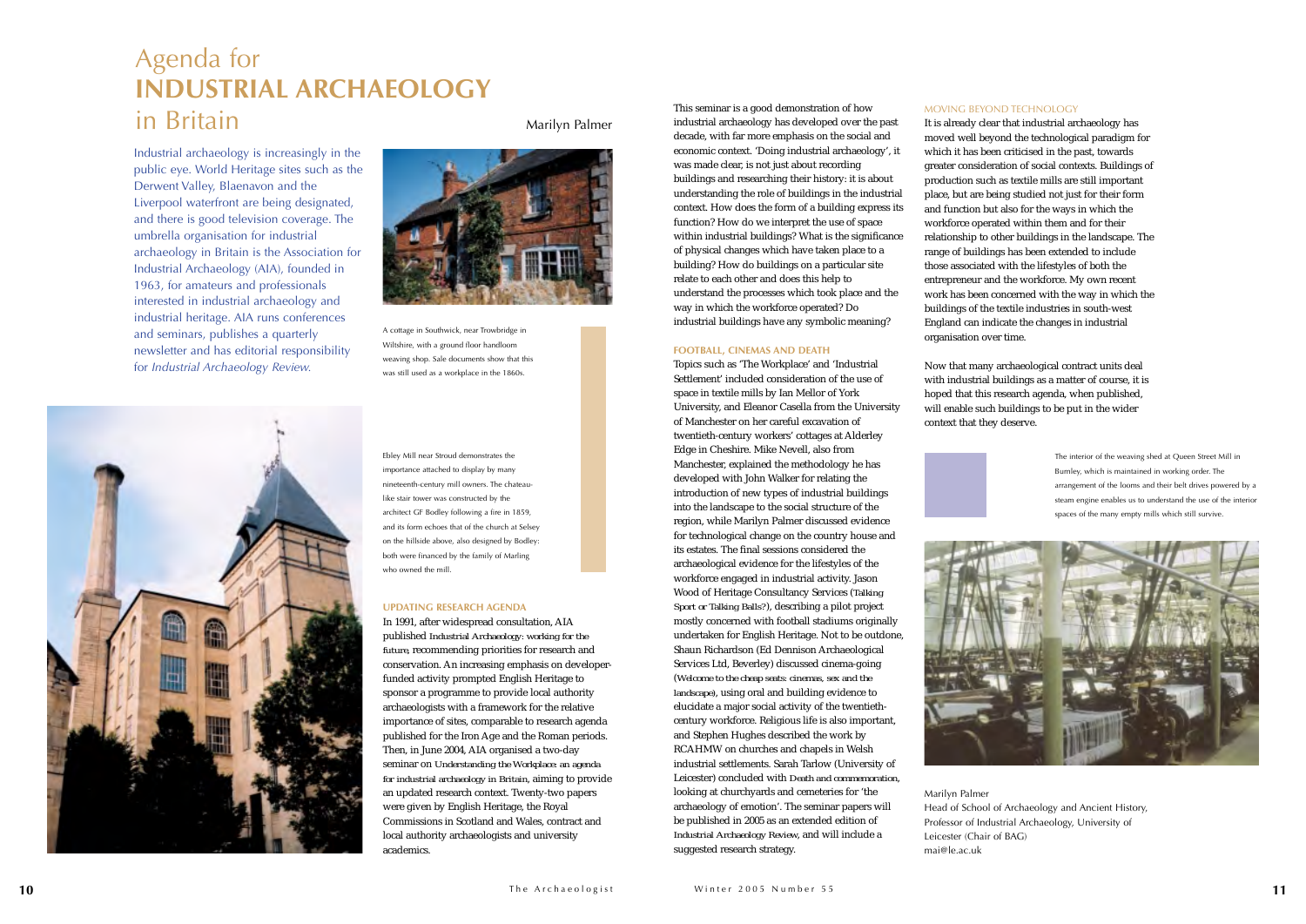Industrial archaeology is increasingly in the public eye. World Heritage sites such as the Derwent Valley, Blaenavon and the Liverpool waterfront are being designated, and there is good television coverage. The umbrella organisation for industrial archaeology in Britain is the Association for Industrial Archaeology (AIA), founded in 1963, for amateurs and professionals interested in industrial archaeology and industrial heritage. AIA runs conferences and seminars, publishes a quarterly newsletter and has editorial responsibility for *Industrial Archaeology Review.*



#### **UPDATING RESEARCH AGENDA**

In 1991, after widespread consultation, AIA published *Industrial Archaeology: working for the future,* recommending priorities for research and conservation. An increasing emphasis on developerfunded activity prompted English Heritage to sponsor a programme to provide local authority archaeologists with a framework for the relative importance of sites, comparable to research agenda published for the Iron Age and the Roman periods. Then, in June 2004, AIA organised a two-day seminar on *Understanding the Workplace: an agenda for industrial archaeology in Britain*, aiming to provide an updated research context. Twenty-two papers were given by English Heritage, the Royal Commissions in Scotland and Wales, contract and local authority archaeologists and university academics.

#### MOVING BEYOND TECHNOLOGY

It is already clear that industrial archaeology has moved well beyond the technological paradigm for which it has been criticised in the past, towards greater consideration of social contexts. Buildings of production such as textile mills are still important place, but are being studied not just for their form and function but also for the ways in which the workforce operated within them and for their relationship to other buildings in the landscape. The range of buildings has been extended to include those associated with the lifestyles of both the entrepreneur and the workforce. My own recent work has been concerned with the way in which the buildings of the textile industries in south-west England can indicate the changes in industrial organisation over time.

Now that many archaeological contract units deal with industrial buildings as a matter of course, it is hoped that this research agenda, when published, will enable such buildings to be put in the wider context that they deserve.





Marilyn Palmer Head of School of Archaeology and Ancient History, Professor of Industrial Archaeology, University of Leicester (Chair of BAG) mai@le.ac.uk

#### This seminar is a good demonstration of how industrial archaeology has developed over the past decade, with far more emphasis on the social and economic context. 'Doing industrial archaeology', it was made clear, is not just about recording buildings and researching their history: it is about understanding the role of buildings in the industrial context. How does the form of a building express its function? How do we interpret the use of space within industrial buildings? What is the significance of physical changes which have taken place to a building? How do buildings on a particular site

relate to each other and does this help to understand the processes which took place and the way in which the workforce operated? Do industrial buildings have any symbolic meaning?

#### **FOOTBALL, CINEMAS AND DEATH**

Topics such as 'The Workplace' and 'Industrial Settlement' included consideration of the use of space in textile mills by Ian Mellor of York University, and Eleanor Casella from the University of Manchester on her careful excavation of twentieth-century workers' cottages at Alderley Edge in Cheshire. Mike Nevell, also from Manchester, explained the methodology he has developed with John Walker for relating the introduction of new types of industrial buildings into the landscape to the social structure of the region, while Marilyn Palmer discussed evidence for technological change on the country house and its estates. The final sessions considered the archaeological evidence for the lifestyles of the workforce engaged in industrial activity. Jason Wood of Heritage Consultancy Services (*Talking Sport or Talking Balls?*), describing a pilot project mostly concerned with football stadiums originally undertaken for English Heritage. Not to be outdone, Shaun Richardson (Ed Dennison Archaeological Services Ltd, Beverley) discussed cinema-going (*Welcome to the cheap seats: cinemas, sex and the landscape)*, using oral and building evidence to elucidate a major social activity of the twentiethcentury workforce. Religious life is also important, and Stephen Hughes described the work by RCAHMW on churches and chapels in Welsh industrial settlements. Sarah Tarlow (University of Leicester) concluded with *Death and commemoration*, looking at churchyards and cemeteries for 'the archaeology of emotion'. The seminar papers will be published in 2005 as an extended edition of *Industrial Archaeology Review*, and will include a suggested research strategy.

### Agenda for **INDUSTRIAL ARCHAEOLOGY**in Britain

Marilyn Palmer

A cottage in Southwick, near Trowbridge in Wiltshire, with a ground floor handloom weaving shop. Sale documents show that this was still used as a workplace in the 1860s.



Ebley Mill near Stroud demonstrates the importance attached to display by many nineteenth-century mill owners. The chateaulike stair tower was constructed by the architect GF Bodley following a fire in 1859, and its form echoes that of the church at Selsey on the hillside above, also designed by Bodley: both were financed by the family of Marling who owned the mill.

The interior of the weaving shed at Queen Street Mill in Burnley, which is maintained in working order. The arrangement of the looms and their belt drives powered by a steam engine enables us to understand the use of the interior spaces of the many empty mills which still survive.

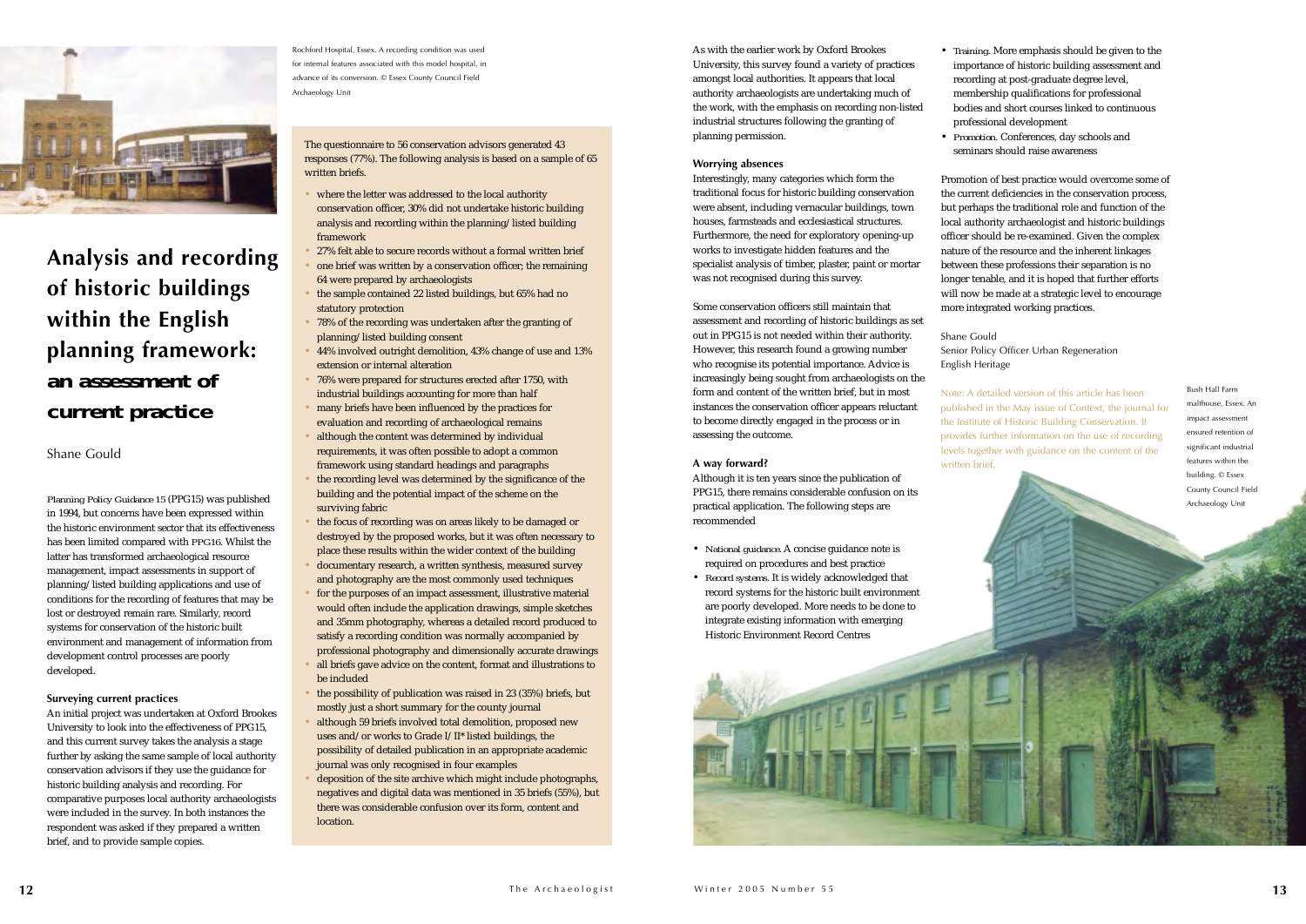• *Training*. More emphasis should be given to the importance of historic building assessment and recording at post-graduate degree level, membership qualifications for professional bodies and short courses linked to continuous professional development • *Promotion*. Conferences, day schools and

seminars should raise awareness

Promotion of best practice would overcome some of the current deficiencies in the conservation process, but perhaps the traditional role and function of the local authority archaeologist and historic buildings officer should be re-examined. Given the complex nature of the resource and the inherent linkages between these professions their separation is no longer tenable, and it is hoped that further efforts will now be made at a strategic level to encourage more integrated working practices.

Senior Policy Officer Urban Regeneration

Shane GouldEnglish Heritage

Note: A detailed version of this article has been published in the May issue of Context, the journal for the Institute of Historic Building Conservation. It provides further information on the use of recording levels together with guidance on the content of the

written brief.



**Analysis and recording of historic buildings within the English planning framework:**  *an assessment of current practice*

Shane Gould

*Planning Policy Guidance 15* (PPG15) was published in 1994, but concerns have been expressed within the historic environment sector that its effectiveness has been limited compared with *PPG16*. Whilst the latter has transformed archaeological resource management, impact assessments in support of planning/listed building applications and use of conditions for the recording of features that may be lost or destroyed remain rare. Similarly, record systems for conservation of the historic built environment and management of information from development control processes are poorly developed.

#### **Surveying current practices**

An initial project was undertaken at Oxford Brookes University to look into the effectiveness of PPG15, and this current survey takes the analysis a stage further by asking the same sample of local authority conservation advisors if they use the guidance for historic building analysis and recording. For comparative purposes local authority archaeologists were included in the survey. In both instances the respondent was asked if they prepared a written brief, and to provide sample copies.

Rochford Hospital, Essex. A recording condition was used for internal features associated with this model hospital, in advance of its conversion. © Essex County Council Field Archaeology Unit

The questionnaire to 56 conservation advisors generated 43 responses (77%). The following analysis is based on a sample of 65 written briefs.

- where the letter was addressed to the local authority conservation officer, 30% did not undertake historic building analysis and recording within the planning/listed building framework
- 27% felt able to secure records without a formal written brief
- one brief was written by a conservation officer; the remaining 64 were prepared by archaeologists
- the sample contained 22 listed buildings, but 65% had no statutory protection
- 78% of the recording was undertaken after the granting of planning/listed building consent
- 44% involved outright demolition, 43% change of use and 13% extension or internal alteration
- 76% were prepared for structures erected after 1750, with industrial buildings accounting for more than half
- many briefs have been influenced by the practices for evaluation and recording of archaeological remains
- although the content was determined by individual requirements, it was often possible to adopt a common framework using standard headings and paragraphs
- the recording level was determined by the significance of the building and the potential impact of the scheme on the surviving fabric
- the focus of recording was on areas likely to be damaged or destroyed by the proposed works, but it was often necessary to place these results within the wider context of the building
- documentary research, a written synthesis, measured survey and photography are the most commonly used techniques
- for the purposes of an impact assessment, illustrative material would often include the application drawings, simple sketches and 35mm photography, whereas a detailed record produced to satisfy a recording condition was normally accompanied by professional photography and dimensionally accurate drawings
- all briefs gave advice on the content, format and illustrations to be included
- the possibility of publication was raised in 23 (35%) briefs, but mostly just a short summary for the county journal
- although 59 briefs involved total demolition, proposed new uses and/or works to Grade I/II\* listed buildings, the possibility of detailed publication in an appropriate academic journal was only recognised in four examples
- deposition of the site archive which might include photographs, negatives and digital data was mentioned in 35 briefs (55%), but there was considerable confusion over its form, content and location.

As with the earlier work by Oxford Brookes University, this survey found a variety of practices amongst local authorities. It appears that local authority archaeologists are undertaking much of the work, with the emphasis on recording non-listed industrial structures following the granting of planning permission.

#### **Worrying absences**

Interestingly, many categories which form the traditional focus for historic building conservation were absent, including vernacular buildings, town houses, farmsteads and ecclesiastical structures. Furthermore, the need for exploratory opening-up works to investigate hidden features and the specialist analysis of timber, plaster, paint or mortar was not recognised during this survey.

Some conservation officers still maintain that assessment and recording of historic buildings as set out in PPG15 is not needed within their authority. However, this research found a growing number who recognise its potential importance. Advice is increasingly being sought from archaeologists on the form and content of the written brief, but in most instances the conservation officer appears reluctant to become directly engaged in the process or in assessing the outcome.

#### **A way forward?**

Although it is ten years since the publication of PPG15, there remains considerable confusion on its practical application. The following steps are recommended

- *National guidance*. A concise guidance note is required on procedures and best practice
- *Record systems*. It is widely acknowledged that record systems for the historic built environment are poorly developed. More needs to be done to integrate existing information with emerging Historic Environment Record Centres



Bush Hall Farmmalthouse, Essex. An impact assessment ensured retention ofsignificant industrial features within the building. © Essex County Council Field Archaeology Unit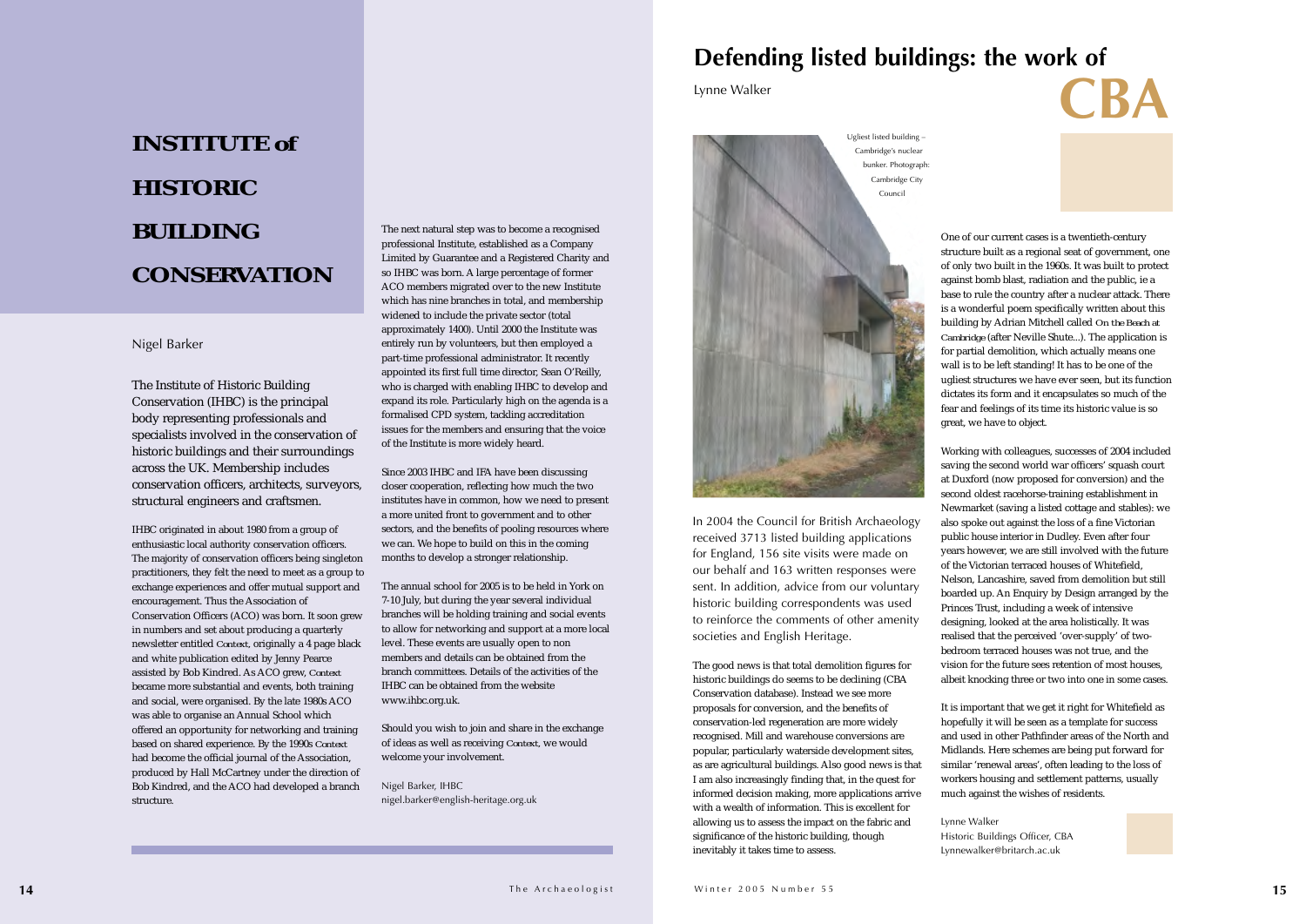The Institute of Historic Building Conservation (IHBC) is the principal body representing professionals and specialists involved in the conservation of historic buildings and their surroundings across the UK. Membership includes conservation officers, architects, surveyors, structural engineers and craftsmen.

IHBC originated in about 1980 from a group of enthusiastic local authority conservation officers. The majority of conservation officers being singleton practitioners, they felt the need to meet as a group to exchange experiences and offer mutual support and encouragement. Thus the Association of Conservation Officers (ACO) was born. It soon grew in numbers and set about producing a quarterly newsletter entitled *Context,* originally a 4 page black and white publication edited by Jenny Pearce assisted by Bob Kindred. As ACO grew, *Context* became more substantial and events, both training and social, were organised. By the late 1980s ACO was able to organise an Annual School which offered an opportunity for networking and training based on shared experience. By the 1990s *Context* had become the official journal of the Association, produced by Hall McCartney under the direction of Bob Kindred, and the ACO had developed a branch structure.

The next natural step was to become a recognised professional Institute, established as a Company Limited by Guarantee and a Registered Charity and so IHBC was born. A large percentage of former ACO members migrated over to the new Institute which has nine branches in total, and membership widened to include the private sector (total approximately 1400). Until 2000 the Institute was entirely run by volunteers, but then employed a part-time professional administrator. It recently appointed its first full time director, Sean O'Reilly, who is charged with enabling IHBC to develop and expand its role. Particularly high on the agenda is a formalised CPD system, tackling accreditation issues for the members and ensuring that the voice of the Institute is more widely heard.

Since 2003 IHBC and IFA have been discussing closer cooperation, reflecting how much the two institutes have in common, how we need to present a more united front to government and to other sectors, and the benefits of pooling resources where we can. We hope to build on this in the coming months to develop a stronger relationship.

The annual school for 2005 is to be held in York on7-10 July, but during the year several individual branches will be holding training and social events to allow for networking and support at a more local level. These events are usually open to non members and details can be obtained from the branch committees. Details of the activities of theIHBC can be obtained from the websitewww.ihbc.org.uk.

Should you wish to join and share in the exchange of ideas as well as receiving *Context,* we would welcome your involvement.

Nigel Barker, IHBC nigel.barker@english-heritage.org.uk One of our current cases is a twentieth-century structure built as a regional seat of government, one of only two built in the 1960s. It was built to protect against bomb blast, radiation and the public, ie a base to rule the country after a nuclear attack. There is a wonderful poem specifically written about this building by Adrian Mitchell called *On the Beach at Cambridge* (after Neville Shute...). The application is for partial demolition, which actually means one wall is to be left standing! It has to be one of the ugliest structures we have ever seen, but its function dictates its form and it encapsulates so much of the fear and feelings of its time its historic value is so great, we have to object.

Working with colleagues, successes of 2004 included saving the second world war officers' squash court at Duxford (now proposed for conversion) and the second oldest racehorse-training establishment in Newmarket (saving a listed cottage and stables): we also spoke out against the loss of a fine Victorian public house interior in Dudley. Even after four years however, we are still involved with the future of the Victorian terraced houses of Whitefield, Nelson, Lancashire, saved from demolition but still boarded up. An Enquiry by Design arranged by the Princes Trust, including a week of intensive designing, looked at the area holistically. It was realised that the perceived 'over-supply' of twobedroom terraced houses was not true, and the vision for the future sees retention of most houses, albeit knocking three or two into one in some cases.

It is important that we get it right for Whitefield as hopefully it will be seen as a template for success and used in other Pathfinder areas of the North and Midlands. Here schemes are being put forward for similar 'renewal areas', often leading to the loss of workers housing and settlement patterns, usually much against the wishes of residents.

Lynne Walker

Historic Buildings Officer, CBA Lynnewalker@britarch.ac.uk



In 2004 the Council for British Archaeology received 3713 listed building applications for England, 156 site visits were made on our behalf and 163 written responses were sent. In addition, advice from our voluntary historic building correspondents was used to reinforce the comments of other amenity societies and English Heritage.

The good news is that total demolition figures for historic buildings do seems to be declining (CBA Conservation database). Instead we see more proposals for conversion, and the benefits of conservation-led regeneration are more widely recognised. Mill and warehouse conversions are popular, particularly waterside development sites, as are agricultural buildings. Also good news is that I am also increasingly finding that, in the quest for informed decision making, more applications arrive with a wealth of information. This is excellent for allowing us to assess the impact on the fabric and significance of the historic building, though inevitably it takes time to assess.



### **Defending listed buildings: the work of**  Lynne Walker **CBA**

### **INSTITUTE** *of***HISTORICBUILDINGCONSERVATION**

#### Nigel Barker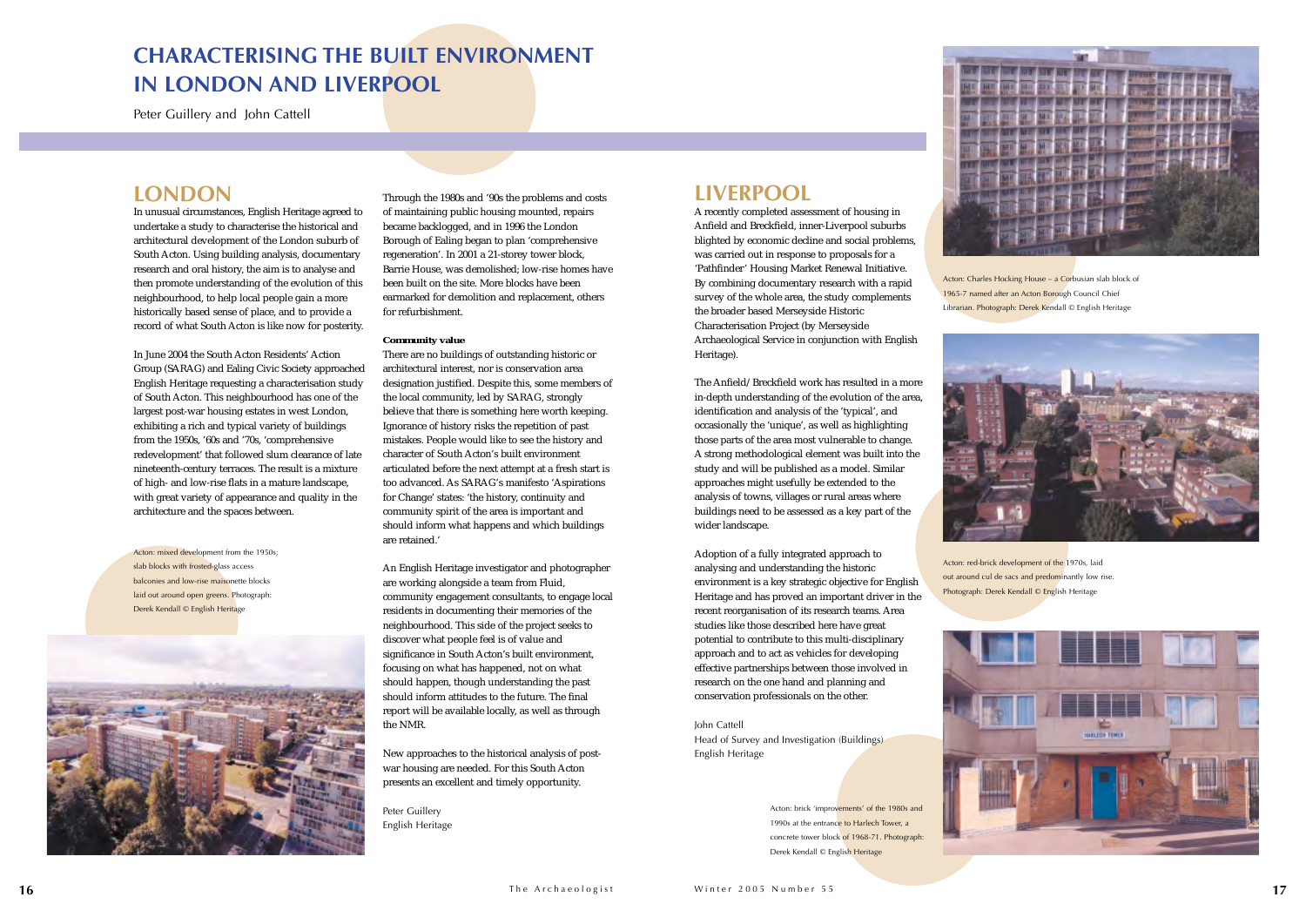

### **LONDON**

In unusual circumstances, English Heritage agreed to undertake a study to characterise the historical and architectural development of the London suburb of South Acton. Using building analysis, documentary research and oral history, the aim is to analyse and then promote understanding of the evolution of this neighbourhood, to help local people gain a more historically based sense of place, and to provide a record of what South Acton is like now for posterity.

In June 2004 the South Acton Residents' Action Group (SARAG) and Ealing Civic Society approached English Heritage requesting a characterisation study of South Acton. This neighbourhood has one of the largest post-war housing estates in west London, exhibiting a rich and typical variety of buildings from the 1950s, '60s and '70s, 'comprehensive redevelopment' that followed slum clearance of late nineteenth-century terraces. The result is a mixture of high- and low-rise flats in a mature landscape, with great variety of appearance and quality in the architecture and the spaces between.

Through the 1980s and '90s the problems and costs of maintaining public housing mounted, repairs became backlogged, and in 1996 the London Borough of Ealing began to plan 'comprehensive regeneration'. In 2001 a 21-storey tower block, Barrie House, was demolished; low-rise homes have been built on the site. More blocks have been earmarked for demolition and replacement, others for refurbishment.

#### **Community value**

There are no buildings of outstanding historic or architectural interest, nor is conservation area designation justified. Despite this, some members of the local community, led by SARAG, strongly believe that there is something here worth keeping. Ignorance of history risks the repetition of past mistakes. People would like to see the history and character of South Acton's built environment articulated before the next attempt at a fresh start is too advanced. As SARAG's manifesto 'Aspirations for Change' states: 'the history, continuity and community spirit of the area is important and should inform what happens and which buildings are retained.'

Acton: mixed development from the 1950s; slab blocks with frosted-glass access balconies and low-rise maisonette blocks laid out around open greens. Photograph: Derek Kendall © English Heritage



An English Heritage investigator and photographer are working alongside a team from Fluid, community engagement consultants, to engage local residents in documenting their memories of the neighbourhood. This side of the project seeks to discover what people feel is of value and significance in South Acton's built environment, focusing on what has happened, not on what should happen, though understanding the past should inform attitudes to the future. The final report will be available locally, as well as through the NMR.

> Acton: brick 'improvements' of the 1980s and 1990s at the entrance to Harlech Tower, a concrete tower block of 1968-71. Photograph: Derek Kendall © English Heritage





New approaches to the historical analysis of postwar housing are needed. For this South Acton presents an excellent and timely opportunity.

Peter Guillery English Heritage

### **LIVERPOOL**

A recently completed assessment of housing in Anfield and Breckfield, inner-Liverpool suburbs blighted by economic decline and social problems, was carried out in response to proposals for a 'Pathfinder' Housing Market Renewal Initiative. By combining documentary research with a rapid survey of the whole area, the study complements the broader based Merseyside Historic Characterisation Project (by Merseyside Archaeological Service in conjunction with English Heritage).

The Anfield/Breckfield work has resulted in a more in-depth understanding of the evolution of the area, identification and analysis of the 'typical', and occasionally the 'unique', as well as highlighting those parts of the area most vulnerable to change. A strong methodological element was built into the study and will be published as a model. Similar approaches might usefully be extended to the analysis of towns, villages or rural areas where buildings need to be assessed as a key part of the wider landscape.

Adoption of a fully integrated approach to analysing and understanding the historic environment is a key strategic objective for English Heritage and has proved an important driver in the recent reorganisation of its research teams. Area studies like those described here have great potential to contribute to this multi-disciplinary approach and to act as vehicles for developing effective partnerships between those involved in research on the one hand and planning and conservation professionals on the other.

John Cattell Head of Survey and Investigation (Buildings) English Heritage

### **CHARACTERISING THE BUILT ENVIRONMENTIN LONDON AND LIVERPOOL**

Peter Guillery and John Cattell

Acton: Charles Hocking House – a Corbusian slab block of 1965-7 named after an Acton Borough Council Chief Librarian. Photograph: Derek Kendall © English Heritage



Acton: red-brick development of the 1970s, laid out around cul de sacs and predominantly low rise. Photograph: Derek Kendall © English Heritage

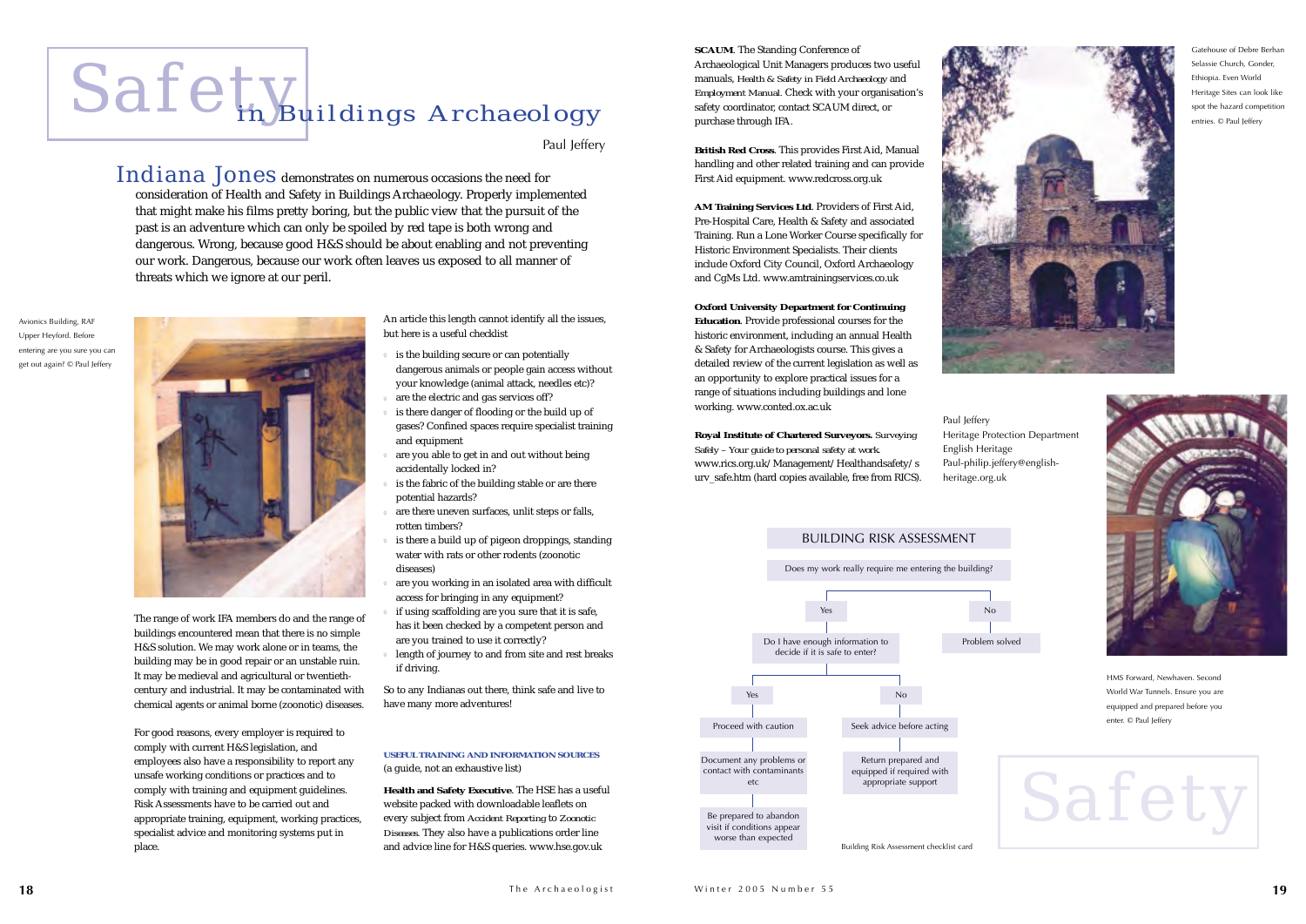# Safet<sub>in</sub> Buildings Archaeology

Paul lefferv

 $\mathbf{Indiana\ Jones}$  demonstrates on numerous occasions the need for consideration of Health and Safety in Buildings Archaeology. Properly implemented that might make his films pretty boring, but the public view that the pursuit of the past is an adventure which can only be spoiled by red tape is both wrong and dangerous. Wrong, because good H&S should be about enabling and not preventing our work. Dangerous, because our work often leaves us exposed to all manner of threats which we ignore at our peril.

> An article this length cannot identify all the issues, but here is a useful checklist

- is the building secure or can potentially dangerous animals or people gain access without your knowledge (animal attack, needles etc)?
- are the electric and gas services off?
- is there danger of flooding or the build up of gases? Confined spaces require specialist training and equipment
- are you able to get in and out without being accidentally locked in?
- is the fabric of the building stable or are there potential hazards?
- are there uneven surfaces, unlit steps or falls, rotten timbers?
- is there a build up of pigeon droppings, standing water with rats or other rodents (zoonotic diseases)
- are you working in an isolated area with difficult access for bringing in any equipment?
- if using scaffolding are you sure that it is safe, has it been checked by a competent person and are you trained to use it correctly?
- length of journey to and from site and rest breaks if driving.

So to any Indianas out there, think safe and live to have many more adventures!

#### **USEFUL TRAINING AND INFORMATION SOURCES** (a guide, not an exhaustive list)

**Health and Safety Executive**. The HSE has a useful website packed with downloadable leaflets on every subject from *Accident Reporting* to *Zoonotic Diseases.* They also have a publications order line and advice line for H&S queries. www.hse.gov.uk

The range of work IFA members do and the range of buildings encountered mean that there is no simple H&S solution. We may work alone or in teams, the building may be in good repair or an unstable ruin. It may be medieval and agricultural or twentiethcentury and industrial. It may be contaminated with chemical agents or animal borne (zoonotic) diseases.

Gatehouse of Debre Berhan Selassie Church, Gonder, Ethiopia. Even World Heritage Sites can look like spot the hazard competition entries. © Paul Iefferv

For good reasons, every employer is required to comply with current H&S legislation, and employees also have a responsibility to report any unsafe working conditions or practices and to comply with training and equipment guidelines. Risk Assessments have to be carried out andappropriate training, equipment, working practices, specialist advice and monitoring systems put in place.

**SCAUM**. The Standing Conference of Archaeological Unit Managers produces two useful manuals, *Health & Safety in Field Archaeology* and *Employment Manual.* Check with your organisation's safety coordinator, contact SCAUM direct, or purchase through IFA.

**British Red Cross**. This provides First Aid, Manual handling and other related training and can provide First Aid equipment. www.redcross.org.uk

**AM Training Services Ltd**. Providers of First Aid, Pre-Hospital Care, Health & Safety and associated Training. Run a Lone Worker Course specifically for Historic Environment Specialists. Their clients include Oxford City Council, Oxford Archaeology and CgMs Ltd. www.amtrainingservices.co.uk

**Oxford University Department for Continuing Education**. Provide professional courses for the historic environment, including an annual Health & Safety for Archaeologists course. This gives a detailed review of the current legislation as well as an opportunity to explore practical issues for a range of situations including buildings and lone working. www.conted.ox.ac.uk

**Royal Institute of Chartered Surveyors.** *Surveying Safely – Your guide to personal safety at work*. www.rics.org.uk/Management/Healthandsafety/s urv\_safe.htm (hard copies available, free from RICS). Heritage Protection Department Paul-philip.jeffery@english-

Paul Jeffery English Heritage heritage.org.uk

# Safety

Avionics Building, RAF Upper Heyford. Before entering are you sure you can get out again? © Paul Jeffery





HMS Forward, Newhaven. Second World War Tunnels. Ensure you are equipped and prepared before you enter. © Paul Jeffery

#### BUILDING RISK ASSESSMENT

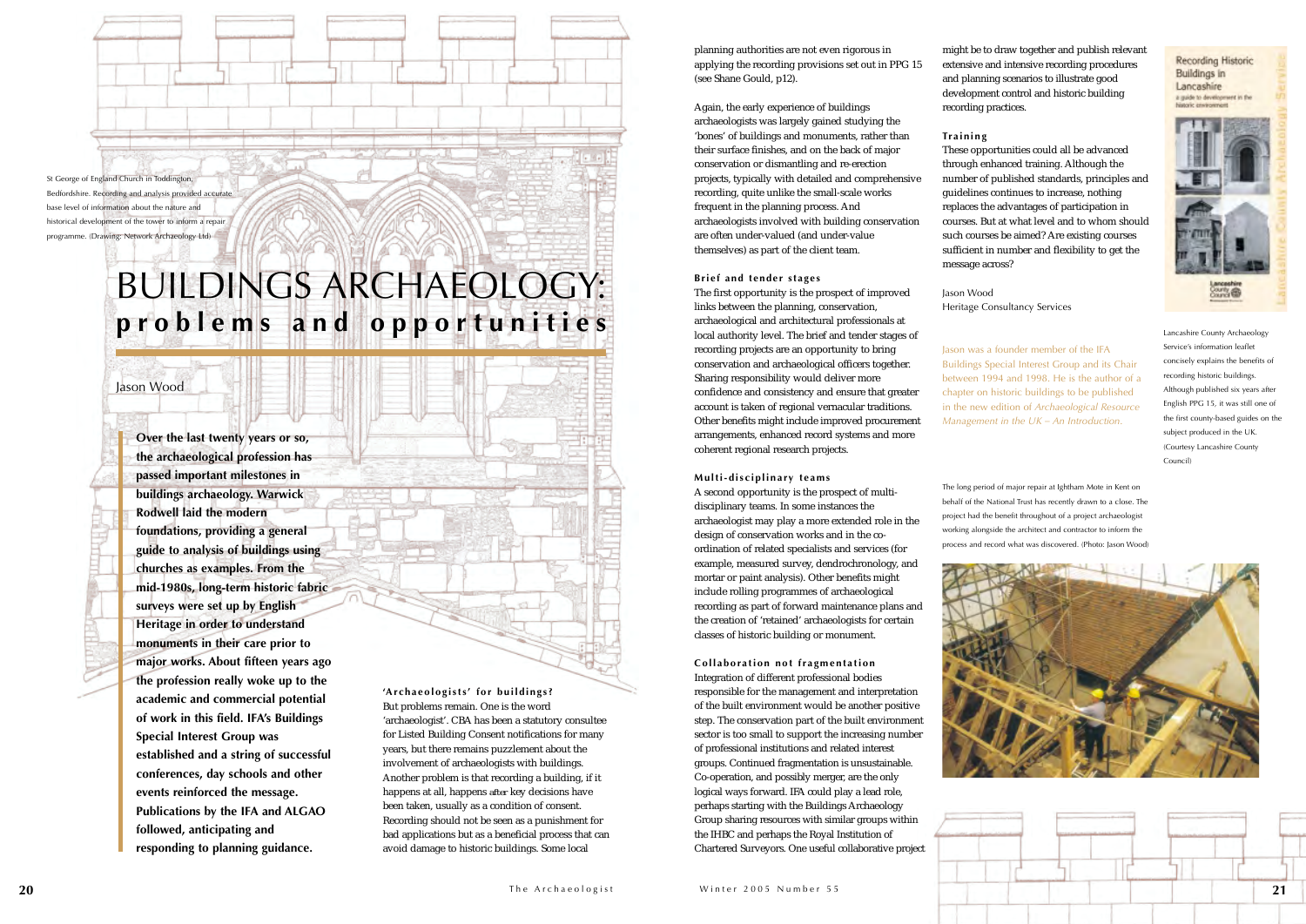planning authorities are not even rigorous in applying the recording provisions set out in PPG 15 (see Shane Gould, p12).

Again, the early experience of buildings archaeologists was largely gained studying the 'bones' of buildings and monuments, rather than their surface finishes, and on the back of major conservation or dismantling and re-erection projects, typically with detailed and comprehensive recording, quite unlike the small-scale works frequent in the planning process. And archaeologists involved with building conservation are often under-valued (and under-value themselves) as part of the client team.

#### **Brief and tender stages**

The first opportunity is the prospect of improved links between the planning, conservation, archaeological and architectural professionals at local authority level. The brief and tender stages of recording projects are an opportunity to bring conservation and archaeological officers together. Sharing responsibility would deliver more confidence and consistency and ensure that greater account is taken of regional vernacular traditions. Other benefits might include improved procurement arrangements, enhanced record systems and more coherent regional research projects.

#### **Multi-disciplinary teams**

A second opportunity is the prospect of multidisciplinary teams. In some instances the archaeologist may play a more extended role in the design of conservation works and in the coordination of related specialists and services (for example, measured survey, dendrochronology, and mortar or paint analysis). Other benefits might include rolling programmes of archaeological recording as part of forward maintenance plans and the creation of 'retained' archaeologists for certain classes of historic building or monument.

**Collaboration not fragmentation** Integration of different professional bodies responsible for the management and interpretation of the built environment would be another positive step. The conservation part of the built environment sector is too small to support the increasing number of professional institutions and related interest groups. Continued fragmentation is unsustainable. Co-operation, and possibly merger, are the only logical ways forward. IFA could play a lead role, perhaps starting with the Buildings Archaeology Group sharing resources with similar groups within the IHBC and perhaps the Royal Institution of Chartered Surveyors. One useful collaborative project

**'Archaeologists' for buildings?** But problems remain. One is the word 'archaeologist'. CBA has been a statutory consultee for Listed Building Consent notifications for many years, but there remains puzzlement about the involvement of archaeologists with buildings. Another problem is that recording a building, if it happens at all, happens *after* key decisions have been taken, usually as a condition of consent. Recording should not be seen as a punishment for bad applications but as a beneficial process that can avoid damage to historic buildings. Some local

## BUILDINGS ARCHAEOLOGY: **problems and opportunities**

#### Jason Wood

might be to draw together and publish relevant extensive and intensive recording procedures and planning scenarios to illustrate good development control and historic building

recording practices.

These opportunities could all be advanced through enhanced training. Although the number of published standards, principles and guidelines continues to increase, nothing replaces the advantages of participation in courses. But at what level and to whom should such courses be aimed? Are existing courses sufficient in number and flexibility to get the

**Training** message across?

Jason Wood





Heritage Consultancy Services

Jason was a founder member of the IFA Buildings Special Interest Group and its Chair between 1994 and 1998. He is the author of a chapter on historic buildings to be published in the new edition of *Archaeological Resource Management in the UK – An Introduction*.

#### Lancashire County Archaeology Service's information leaflet concisely explains the benefits of recording historic buildings. Although published six years after English PPG 15, it was still one of the first county-based guides on the subject produced in the UK. (Courtesy Lancashire County

Council)





**Recording Historic** 

The long period of major repair at Ightham Mote in Kent on behalf of the National Trust has recently drawn to a close. The project had the benefit throughout of a project archaeologist working alongside the architect and contractor to inform the process and record what was discovered. (Photo: Jason Wood)

**Over the last twenty years or so, the archaeological profession has passed important milestones in buildings archaeology. Warwick Rodwell laid the modernfoundations, providing a general guide to analysis of buildings using churches as examples. From the mid-1980s, long-term historic fabric surveys were set up by English Heritage in order to understand monuments in their care prior to major works. About fifteen years ago the profession really woke up to the academic and commercial potential of work in this field. IFA's Buildings Special Interest Group was established and a string of successful conferences, day schools and other events reinforced the message. Publications by the IFA and ALGAO followed, anticipating and responding to planning guidance.**

St George of England Church in Toddington, Bedfordshire. Recording and analysis provided accurate base level of information about the nature and historical development of the tower to inform a repair programme. (Drawing: Network Archaeology Ltd)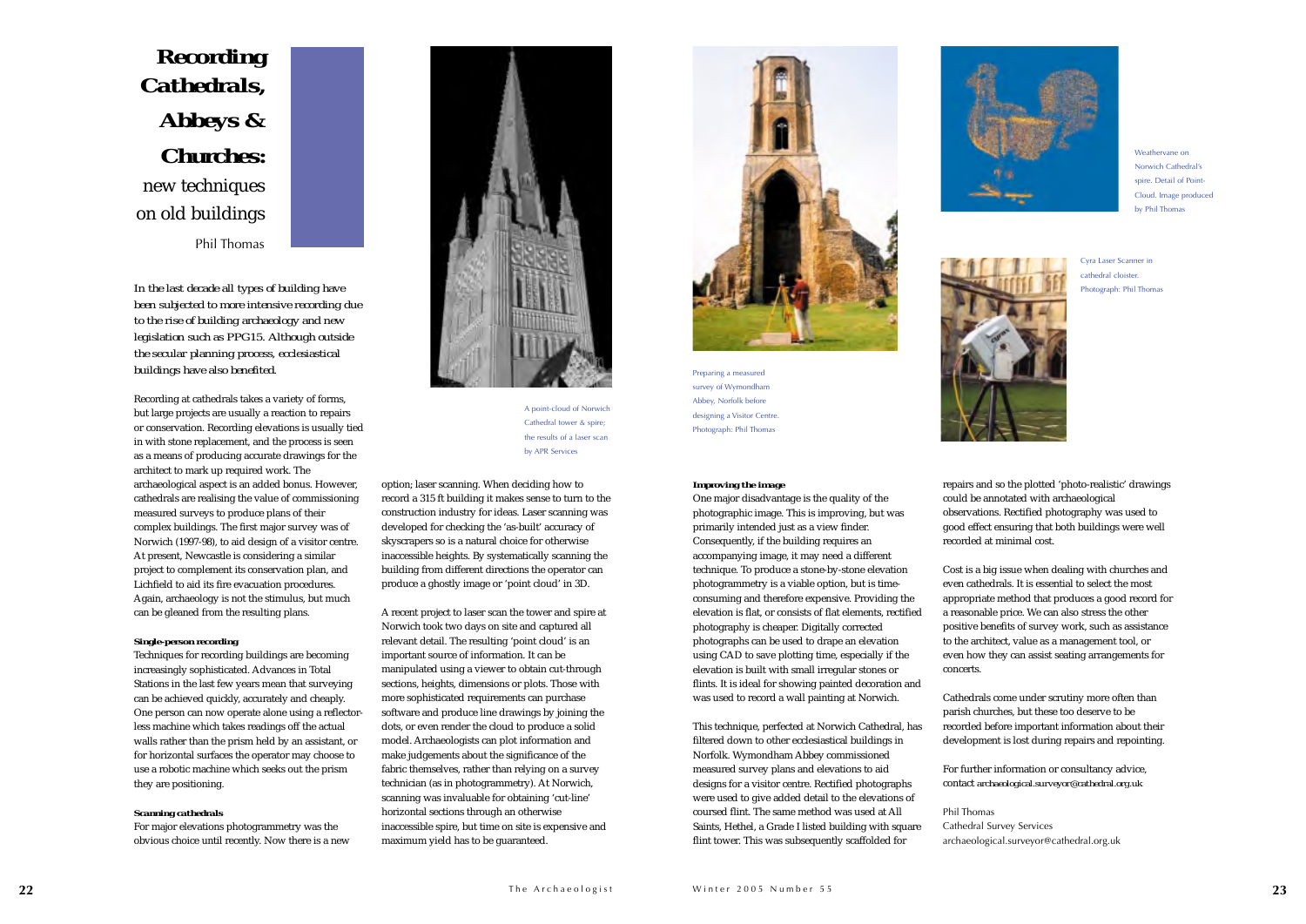#### *Improving the image*

One major disadvantage is the quality of the photographic image. This is improving, but was primarily intended just as a view finder. Consequently, if the building requires an accompanying image, it may need a different technique. To produce a stone-by-stone elevation photogrammetry is a viable option, but is timeconsuming and therefore expensive. Providing the elevation is flat, or consists of flat elements, rectified photography is cheaper. Digitally corrected photographs can be used to drape an elevation using CAD to save plotting time, especially if the elevation is built with small irregular stones or flints. It is ideal for showing painted decoration and was used to record a wall painting at Norwich.

This technique, perfected at Norwich Cathedral, has filtered down to other ecclesiastical buildings in Norfolk. Wymondham Abbey commissioned measured survey plans and elevations to aid designs for a visitor centre. Rectified photographs were used to give added detail to the elevations of coursed flint. The same method was used at All Saints, Hethel, a Grade I listed building with square flint tower. This was subsequently scaffolded for



*In the last decade all types of building have been subjected to more intensive recording due to the rise of building archaeology and new legislation such as PPG15. Although outside the secular planning process, ecclesiastical buildings have also benefited.*

Recording at cathedrals takes a variety of forms, but large projects are usually a reaction to repairs or conservation. Recording elevations is usually tied in with stone replacement, and the process is seen as a means of producing accurate drawings for the architect to mark up required work. The archaeological aspect is an added bonus. However, cathedrals are realising the value of commissioning measured surveys to produce plans of their complex buildings. The first major survey was of Norwich (1997-98), to aid design of a visitor centre. At present, Newcastle is considering a similar project to complement its conservation plan, and Lichfield to aid its fire evacuation procedures. Again, archaeology is not the stimulus, but much can be gleaned from the resulting plans.

#### *Single-person recording*

Techniques for recording buildings are becoming increasingly sophisticated. Advances in Total Stations in the last few years mean that surveying can be achieved quickly, accurately and cheaply. One person can now operate alone using a reflectorless machine which takes readings off the actual walls rather than the prism held by an assistant, or for horizontal surfaces the operator may choose to use a robotic machine which seeks out the prism they are positioning.

#### *Scanning cathedrals*

For major elevations photogrammetry was the obvious choice until recently. Now there is a new option; laser scanning. When deciding how to record a 315 ft building it makes sense to turn to the construction industry for ideas. Laser scanning was developed for checking the 'as-built' accuracy of skyscrapers so is a natural choice for otherwise inaccessible heights. By systematically scanning the building from different directions the operator can produce a ghostly image or 'point cloud' in 3D.

A recent project to laser scan the tower and spire at Norwich took two days on site and captured all relevant detail. The resulting 'point cloud' is an important source of information. It can be manipulated using a viewer to obtain cut-through sections, heights, dimensions or plots. Those with more sophisticated requirements can purchase software and produce line drawings by joining the dots, or even render the cloud to produce a solid model. Archaeologists can plot information and make judgements about the significance of the fabric themselves, rather than relying on a survey technician (as in photogrammetry). At Norwich, scanning was invaluable for obtaining 'cut-line' horizontal sections through an otherwise inaccessible spire, but time on site is expensive and maximum yield has to be guaranteed.



repairs and so the plotted 'photo-realistic' drawings could be annotated with archaeological observations. Rectified photography was used to good effect ensuring that both buildings were well recorded at minimal cost.

Cost is a big issue when dealing with churches and even cathedrals. It is essential to select the mostappropriate method that produces a good record for a reasonable price. We can also stress the other positive benefits of survey work, such as assistance to the architect, value as a management tool, or even how they can assist seating arrangements for

concerts.

Cathedrals come under scrutiny more often than parish churches, but these too deserve to be recorded before important information about their development is lost during repairs and repointing.

For further information or consultancy advice, contact *archaeological.surveyor@cathedral.org.uk*

Phil ThomasCathedral Survey Services archaeological.surveyor@cathedral.org.uk

*Recording Cathedrals, Abbeys & Churches:*  new techniques on old buildings Phil Thomas







A point-cloud of Norwich Cathedral tower & spire; the results of a laser scan by APR Services

Preparing a measured survey of Wymondham Abbey, Norfolk before designing a Visitor Centre. Photograph: Phil Thomas



Cyra Laser Scanner in cathedral cloister.Photograph: Phil Thomas

Weathervane onNorwich Cathedral's spire. Detail of Point-Cloud. Image produced by Phil Thomas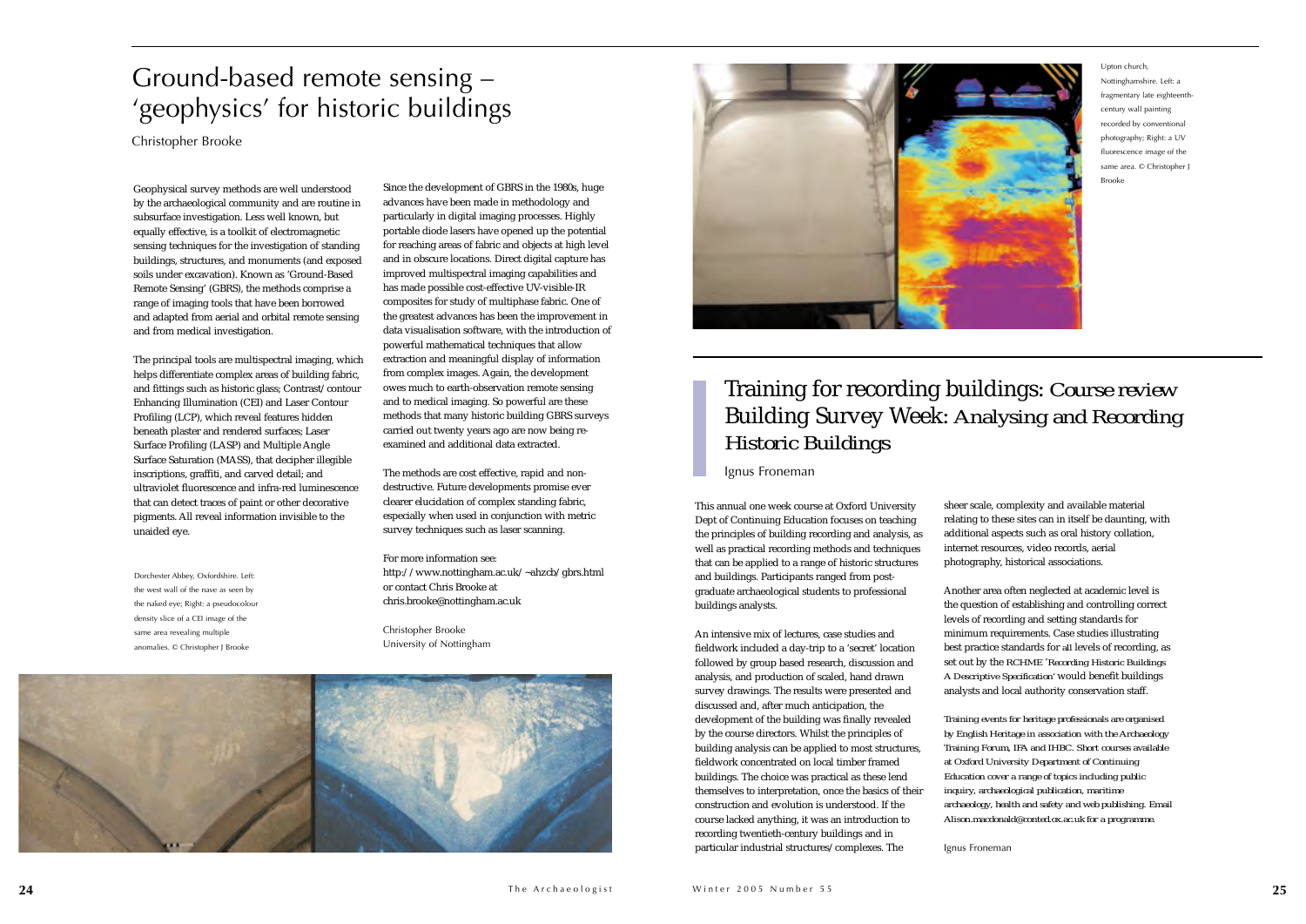This annual one week course at Oxford University Dept of Continuing Education focuses on teaching the principles of building recording and analysis, as well as practical recording methods and techniques that can be applied to a range of historic structures and buildings. Participants ranged from postgraduate archaeological students to professional buildings analysts.

An intensive mix of lectures, case studies and fieldwork included a day-trip to a 'secret' location followed by group based research, discussion and analysis, and production of scaled, hand drawn survey drawings. The results were presented and discussed and, after much anticipation, the development of the building was finally revealed by the course directors. Whilst the principles of building analysis can be applied to most structures, fieldwork concentrated on local timber framed buildings. The choice was practical as these lend themselves to interpretation, once the basics of their construction and evolution is understood. If the course lacked anything, it was an introduction to recording twentieth-century buildings and in particular industrial structures/complexes. The

sheer scale, complexity and available material relating to these sites can in itself be daunting, with additional aspects such as oral history collation, internet resources, video records, aerial photography, historical associations.

Another area often neglected at academic level is the question of establishing and controlling correct levels of recording and setting standards for minimum requirements. Case studies illustrating best practice standards for *all* levels of recording, as set out by the *RCHME* '*Recording Historic Buildings A Descriptive Specification'* would benefit buildings analysts and local authority conservation staff.

*Training events for heritage professionals are organised by English Heritage in association with the Archaeology Training Forum, IFA and IHBC. Short courses available at Oxford University Department of Continuing Education cover a range of topics including public inquiry, archaeological publication, maritime archaeology, health and safety and web publishing. Email Alison.macdonald@conted.ox.ac.uk for a programme.*

Ignus Froneman

Geophysical survey methods are well understood by the archaeological community and are routine in subsurface investigation. Less well known, but equally effective, is a toolkit of electromagnetic sensing techniques for the investigation of standing buildings, structures, and monuments (and exposed soils under excavation). Known as 'Ground-Based Remote Sensing' (GBRS), the methods comprise a range of imaging tools that have been borrowed and adapted from aerial and orbital remote sensing and from medical investigation.

The principal tools are multispectral imaging, which helps differentiate complex areas of building fabric, and fittings such as historic glass; Contrast/contour Enhancing Illumination (CEI) and Laser Contour Profiling (LCP), which reveal features hidden beneath plaster and rendered surfaces; Laser Surface Profiling (LASP) and Multiple Angle Surface Saturation (MASS), that decipher illegible inscriptions, graffiti, and carved detail; and ultraviolet fluorescence and infra-red luminescencethat can detect traces of paint or other decorative pigments. All reveal information invisible to the unaided eye.

Since the development of GBRS in the 1980s, huge advances have been made in methodology and particularly in digital imaging processes. Highly portable diode lasers have opened up the potential for reaching areas of fabric and objects at high level and in obscure locations. Direct digital capture has improved multispectral imaging capabilities and has made possible cost-effective UV-visible-IR composites for study of multiphase fabric. One of the greatest advances has been the improvement in data visualisation software, with the introduction of powerful mathematical techniques that allow extraction and meaningful display of information from complex images. Again, the development owes much to earth-observation remote sensing and to medical imaging. So powerful are these methods that many historic building GBRS surveys carried out twenty years ago are now being reexamined and additional data extracted.

The methods are cost effective, rapid and nondestructive. Future developments promise ever clearer elucidation of complex standing fabric, especially when used in conjunction with metric survey techniques such as laser scanning.

For more information see: http://www.nottingham.ac.uk/~ahzcb/gbrs.html or contact Chris Brooke at chris.brooke@nottingham.ac.uk

Christopher Brooke University of Nottingham





### Training for recording buildings: *Course review* Building Survey Week: *Analysing and Recording Historic Buildings*

Ignus Froneman

### Ground-based remote sensing – 'geophysics' for historic buildings

Christopher Brooke

Dorchester Abbey, Oxfordshire. Left: the west wall of the nave as seen by the naked eye; Right: a pseudocolour density slice of a CEI image of the same area revealing multiple anomalies. © Christopher J Brooke

Upton church, Nottinghamshire. Left: a fragmentary late eighteenthcentury wall painting recorded by conventional photography; Right: a UV fluorescence image of the same area. © Christopher J Brooke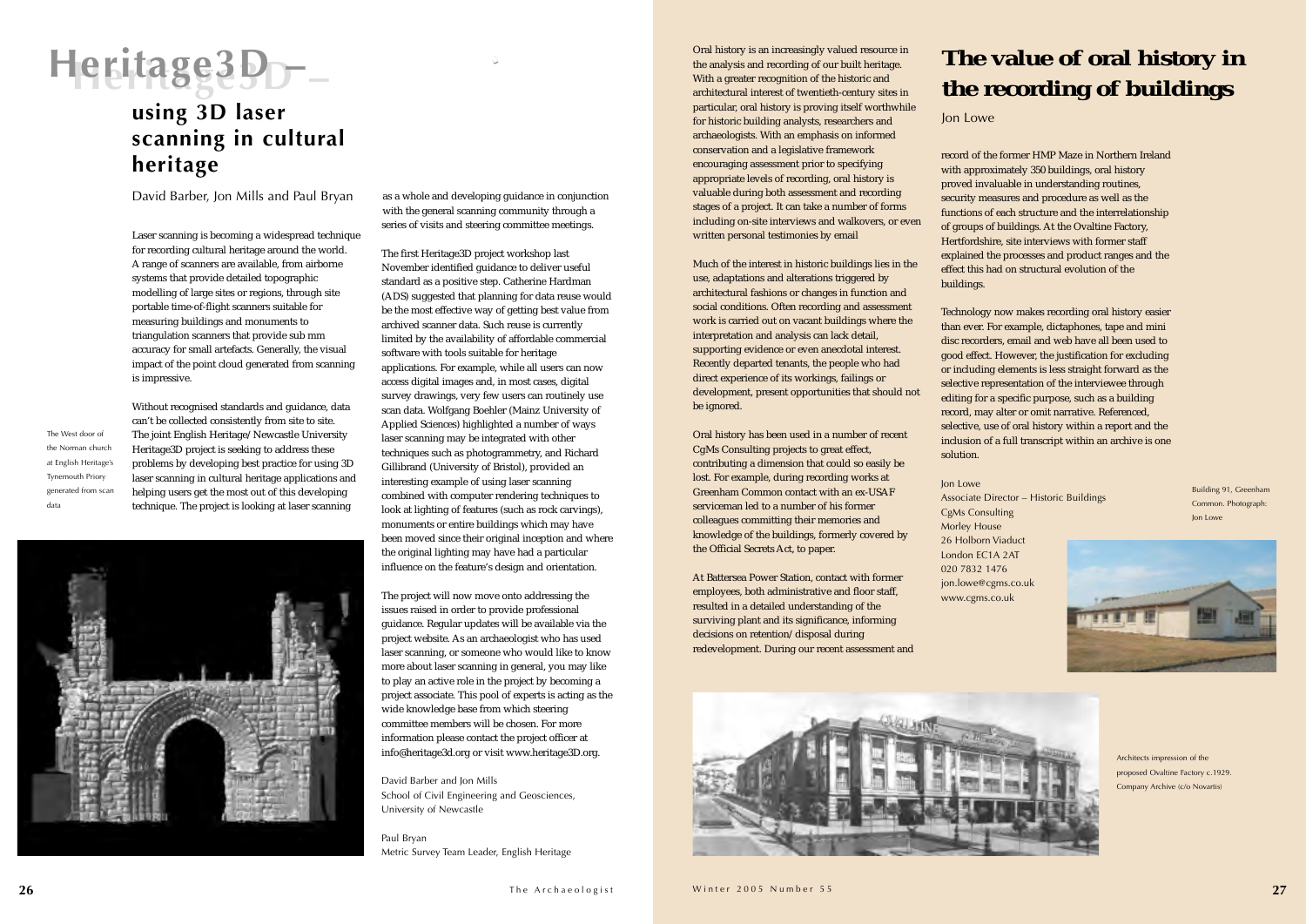Laser scanning is becoming a widespread technique for recording cultural heritage around the world. A range of scanners are available, from airborne systems that provide detailed topographic modelling of large sites or regions, through site portable time-of-flight scanners suitable for measuring buildings and monuments to triangulation scanners that provide sub mm accuracy for small artefacts. Generally, the visual impact of the point cloud generated from scanning is impressive.

Without recognised standards and guidance, data

can't be collected consistently from site to site. The joint English Heritage/Newcastle University Heritage3D project is seeking to address these problems by developing best practice for using 3D laser scanning in cultural heritage applications and helping users get the most out of this developing technique. The project is looking at laser scanning



as a whole and developing guidance in conjunction with the general scanning community through a series of visits and steering committee meetings.

The first Heritage3D project workshop last November identified guidance to deliver useful standard as a positive step. Catherine Hardman (ADS) suggested that planning for data reuse would be the most effective way of getting best value from archived scanner data. Such reuse is currently limited by the availability of affordable commercial software with tools suitable for heritage applications. For example, while all users can now access digital images and, in most cases, digital survey drawings, very few users can routinely use scan data. Wolfgang Boehler (Mainz University of Applied Sciences) highlighted a number of ways laser scanning may be integrated with other techniques such as photogrammetry, and Richard Gillibrand (University of Bristol), provided an interesting example of using laser scanning combined with computer rendering techniques to look at lighting of features (such as rock carvings), monuments or entire buildings which may have been moved since their original inception and where the original lighting may have had a particular influence on the feature's design and orientation.

The project will now move onto addressing the issues raised in order to provide professional guidance. Regular updates will be available via the project website. As an archaeologist who has used laser scanning, or someone who would like to know more about laser scanning in general, you may like to play an active role in the project by becoming a project associate. This pool of experts is acting as the wide knowledge base from which steering committee members will be chosen. For more information please contact the project officer at info@heritage3d.org or visit www.heritage3D.org.

David Barber and Jon Mills School of Civil Engineering and Geosciences, University of Newcastle

Paul Bryan Metric Survey Team Leader, English Heritage Oral history is an increasingly valued resource in the analysis and recording of our built heritage. With a greater recognition of the historic and architectural interest of twentieth-century sites in particular, oral history is proving itself worthwhile for historic building analysts, researchers and archaeologists. With an emphasis on informed conservation and a legislative framework encouraging assessment prior to specifying appropriate levels of recording, oral history is valuable during both assessment and recording stages of a project. It can take a number of forms including on-site interviews and walkovers, or even written personal testimonies by email

Much of the interest in historic buildings lies in the use, adaptations and alterations triggered by architectural fashions or changes in function and social conditions. Often recording and assessment work is carried out on vacant buildings where the interpretation and analysis can lack detail, supporting evidence or even anecdotal interest. Recently departed tenants, the people who had direct experience of its workings, failings or development, present opportunities that should not be ignored.

Oral history has been used in a number of recent CgMs Consulting projects to great effect, contributing a dimension that could so easily be lost. For example, during recording works at Greenham Common contact with an ex-USAF serviceman led to a number of his former colleagues committing their memories and knowledge of the buildings, formerly covered by the Official Secrets Act, to paper.

At Battersea Power Station, contact with former employees, both administrative and floor staff, resulted in a detailed understanding of the surviving plant and its significance, informing decisions on retention/disposal during redevelopment. During our recent assessment and

record of the former HMP Maze in Northern Ireland with approximately 350 buildings, oral history proved invaluable in understanding routines, security measures and procedure as well as the functions of each structure and the interrelationship of groups of buildings. At the Ovaltine Factory, Hertfordshire, site interviews with former staff explained the processes and product ranges and the effect this had on structural evolution of the

buildings.

Technology now makes recording oral history easier than ever. For example, dictaphones, tape and mini disc recorders, email and web have all been used to good effect. However, the justification for excluding or including elements is less straight forward as the selective representation of the interviewee through editing for a specific purpose, such as a building record, may alter or omit narrative. Referenced, selective, use of oral history within a report and the inclusion of a full transcript within an archive is one

solution.

Associate Director – Historic Buildings jon.lowe@cgms.co.uk

Jon Lowe CgMs Consulting Morley House 26 Holborn Viaduct London EC1A 2AT020 7832 1476www.cgms.co.uk

### **using 3D laser scanning in cultural heritage**

David Barber, Jon Mills and Paul Bryan

### **The value of oral history in the recording of buildings**



The West door of the Norman churchat English Heritage's Tynemouth Priory generated from scan data

> Architects impression of the proposed Ovaltine Factory c.1929. Company Archive (c/o Novartis)

Building 91, Greenham Common. Photograph: Jon Lowe





# **Heritage3D – Heritage3D –**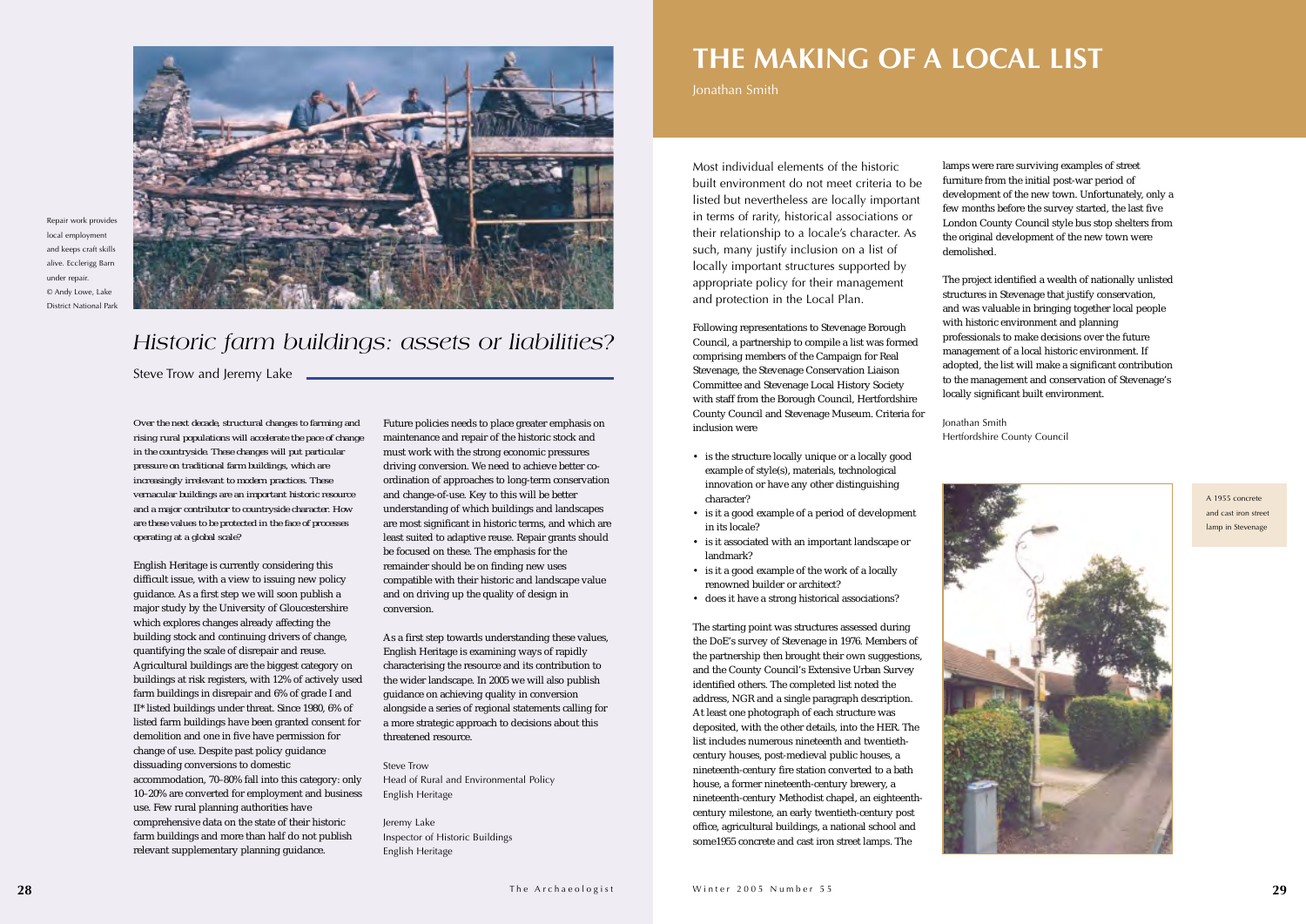*Over the next decade, structural changes to farming and rising rural populations will accelerate the pace of change in the countryside. These changes will put particular pressure on traditional farm buildings, which are increasingly irrelevant to modern practices. These vernacular buildings are an important historic resource and a major contributor to countryside character. How are these values to be protected in the face of processes operating at a global scale?*

English Heritage is currently considering this difficult issue, with a view to issuing new policy guidance. As a first step we will soon publish a major study by the University of Gloucestershire which explores changes already affecting the building stock and continuing drivers of change, quantifying the scale of disrepair and reuse. Agricultural buildings are the biggest category on buildings at risk registers, with 12% of actively used farm buildings in disrepair and 6% of grade I and II\* listed buildings under threat. Since 1980, 6% of listed farm buildings have been granted consent for demolition and one in five have permission for change of use. Despite past policy guidance dissuading conversions to domestic accommodation, 70–80% fall into this category: only 10–20% are converted for employment and business use. Few rural planning authorities have comprehensive data on the state of their historic farm buildings and more than half do not publish relevant supplementary planning guidance.

Future policies needs to place greater emphasis on maintenance and repair of the historic stock and must work with the strong economic pressures driving conversion. We need to achieve better coordination of approaches to long-term conservation and change-of-use. Key to this will be better understanding of which buildings and landscapes are most significant in historic terms, and which are least suited to adaptive reuse. Repair grants should be focused on these. The emphasis for the remainder should be on finding new uses compatible with their historic and landscape value and on driving up the quality of design in conversion.

As a first step towards understanding these values, English Heritage is examining ways of rapidly characterising the resource and its contribution to the wider landscape. In 2005 we will also publish guidance on achieving quality in conversion alongside a series of regional statements calling for a more strategic approach to decisions about this threatened resource.

Steve Trow Head of Rural and Environmental Policy English Heritage

Jeremy Lake Inspector of Historic Buildings English Heritage

Most individual elements of the historicbuilt environment do not meet criteria to be listed but nevertheless are locally important in terms of rarity, historical associations or their relationship to a locale's character. As such, many justify inclusion on a list of locally important structures supported by appropriate policy for their management and protection in the Local Plan.

Following representations to Stevenage Borough Council, a partnership to compile a list was formed comprising members of the Campaign for Real Stevenage, the Stevenage Conservation Liaison Committee and Stevenage Local History Society with staff from the Borough Council, Hertfordshire County Council and Stevenage Museum. Criteria for inclusion were

- is the structure locally unique or a locally good example of style(s), materials, technological innovation or have any other distinguishing character?
- is it a good example of a period of development in its locale?
- is it associated with an important landscape or landmark?
- is it a good example of the work of a locally renowned builder or architect?
- does it have a strong historical associations?

The starting point was structures assessed during the DoE's survey of Stevenage in 1976. Members of the partnership then brought their own suggestions, and the County Council's Extensive Urban Survey identified others. The completed list noted the address, NGR and a single paragraph description. At least one photograph of each structure was deposited, with the other details, into the HER. The list includes numerous nineteenth and twentiethcentury houses, post-medieval public houses, a nineteenth-century fire station converted to a bath house, a former nineteenth-century brewery, a nineteenth-century Methodist chapel, an eighteenthcentury milestone, an early twentieth-century post office, agricultural buildings, a national school and some1955 concrete and cast iron street lamps. The

lamps were rare surviving examples of street furniture from the initial post-war period of development of the new town. Unfortunately, only a few months before the survey started, the last five London County Council style bus stop shelters from the original development of the new town were

demolished.

The project identified a wealth of nationally unlisted structures in Stevenage that justify conservation, and was valuable in bringing together local people with historic environment and planning professionals to make decisions over the future management of a local historic environment. If adopted, the list will make a significant contribution to the management and conservation of Stevenage's locally significant built environment.

Jonathan Smith



Hertfordshire County Council

### *Historic farm buildings: assets or liabilities?*

Steve Trow and Jeremy Lake

### **THE MAKING OF A LOCAL LIST**

Jonathan Smith



Repair work provides local employment and keeps craft skills alive. Ecclerigg Barn under repair. © Andy Lowe, Lake District National Park

> A 1955 concrete and cast iron streetlamp in Stevenage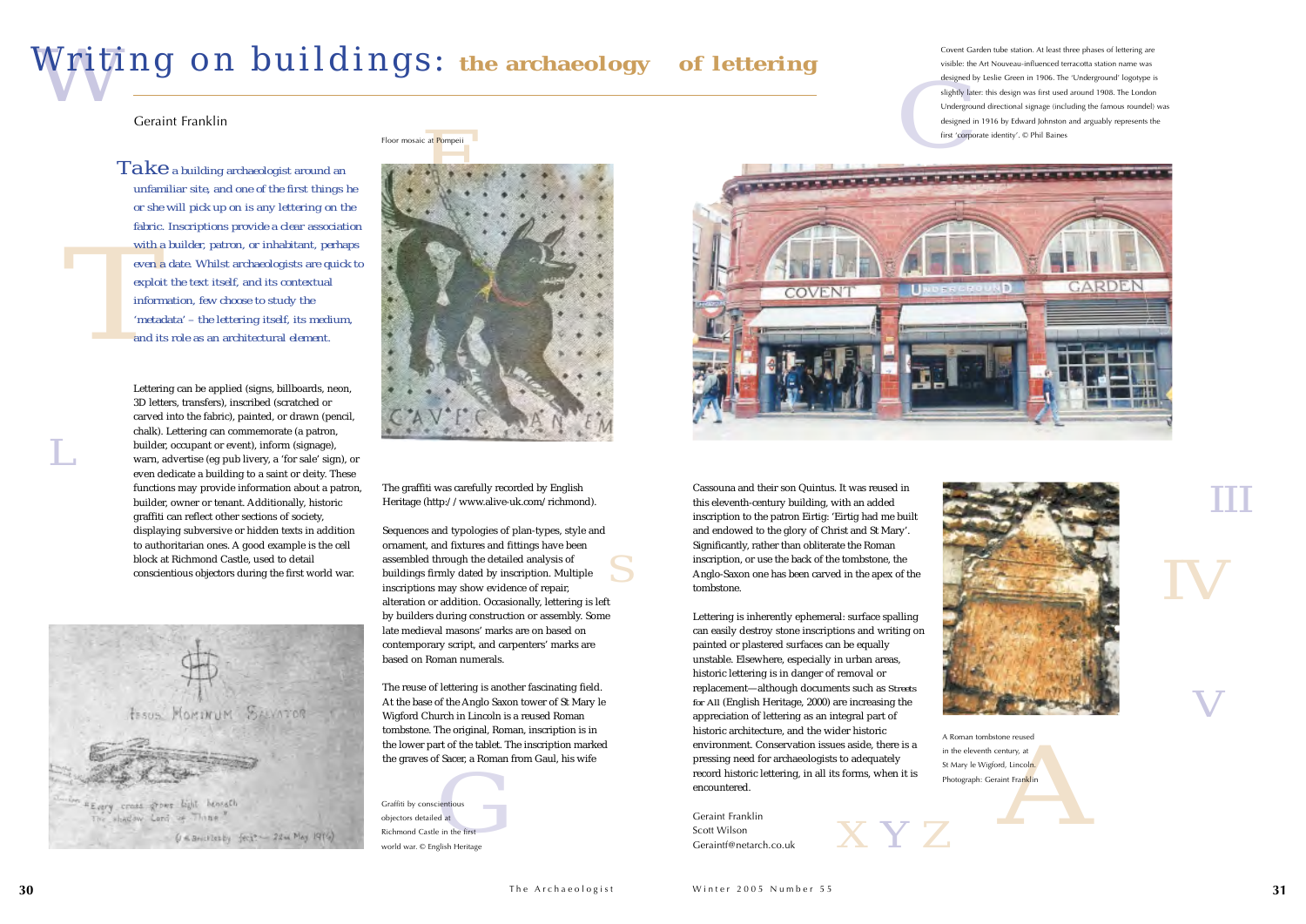

*IV IIIV*



*L*

*Z*

Cassouna and their son Quintus. It was reused in this eleventh-century building, with an added inscription to the patron Eirtig: 'Eirtig had me built and endowed to the glory of Christ and St Mary'. Significantly, rather than obliterate the Roman inscription, or use the back of the tombstone, the Anglo-Saxon one has been carved in the apex of the tombstone.

Finder, a foundation cladi, his where pressing freed for districted the countered.<br>
Finding in all its forms, when it<br>
gentious<br>
ged at Geraint Franklin<br>
Scott Wilson<br>
Geraint (@netarch.co.uk Lettering is inherently ephemeral: surface spalling can easily destroy stone inscriptions and writing on painted or plastered surfaces can be equally unstable. Elsewhere, especially in urban areas, historic lettering is in danger of removal or replacement—although documents such as *Streets for All* (English Heritage, 2000) are increasing the appreciation of lettering as an integral part of historic architecture, and the wider historic environment. Conservation issues aside, there is <sup>a</sup> pressing need for archaeologists to adequately record historic lettering, in all its forms, when it is encountered.

With a<br> *The even a*<br> *The exploi*<br> *Theta*<br> *Theta*<br> *Theta*<br> *The tal*  $Ta \, k \, e$  *a building archaeologist around an unfamiliar site, and one of the first things he or she will pick up on is any lettering on the fabric. Inscriptions provide <sup>a</sup> clear association with <sup>a</sup> builder, patron, or inhabitant, perhaps even <sup>a</sup> date. Whilst archaeologists are quick to exploit the text itself, and its contextual information, few choose to study the 'metadata' – the lettering itself, its medium, and its role as an architectural element.*

> Geraint FranklinScott WilsonGeraintf@netarch.co.uk



*S*Sequences and typologies of plan-types, style and ornament, and fixtures and fittings have been assembled through the detailed analysis of buildings firmly dated by inscription. Multiple inscriptions may show evidence of repair, alteration or addition. Occasionally, lettering is left by builders during construction or assembly. Some late medieval masons' marks are on based oncontemporary script, and carpenters' marks are based on Roman numerals.

# *W* Writing on buildings: **the archaeology of lettering**

*A*A Roman tombstone reusedin the eleventh century, at St Mary le Wigford, Lincoln. Photograph: Geraint Franklin

Lettering can be applied (signs, billboards, neon, 3D letters, transfers), inscribed (scratched or carved into the fabric), painted, or drawn (pencil, chalk). Lettering can commemorate (a patron, builder, occupant or event), inform (signage), warn, advertise (eg pub livery, <sup>a</sup> 'for sale' sign), or even dedicate <sup>a</sup> building to <sup>a</sup> saint or deity. These functions may provide information about <sup>a</sup> patron, builder, owner or tenant. Additionally, historic graffiti can reflect other sections of society, displaying subversive or hidden texts in addition to authoritarian ones. A good example is the cell block at Richmond Castle, used to detail conscientious objectors during the first world war.

**FESUS MOMENTUM SALVATOR** "Every cross grows light heneath The shadow Lord of Thine  $U \leq 3$ ricklasby fect ?-  $24$ m May 1974)

Floor mosaic at <mark>Pom</mark>peii

The graffiti was carefully recorded by English Heritage (http://www.alive-uk.com/richmond).

The reuse of lettering is another fascinating field. At the base of the Anglo Saxon tower of St Mary le Wigford Church in Lincoln is a reused Roman tombstone. The original, Roman, inscription is in the lower part of the tablet. The inscription marked the graves of Sacer, a Roman from Gaul, his wife

Geraint Franklin

Graffiti by conscientious objectors detailed at Richmond Castle in the firstworld war. © English Heritage Covent Garden tube station. At least three phases of lettering are visible: the Art Nouveau-influenced terracotta station name was designed by Leslie Green in 1906. The 'Underground' logotype is slightly later: this design was first used around 1908. The London Underground directional signage (including the famous roundel) was designed in 1916 by Edward Johnston and arguably represents the first 'corporate identity'. © Phil Baines

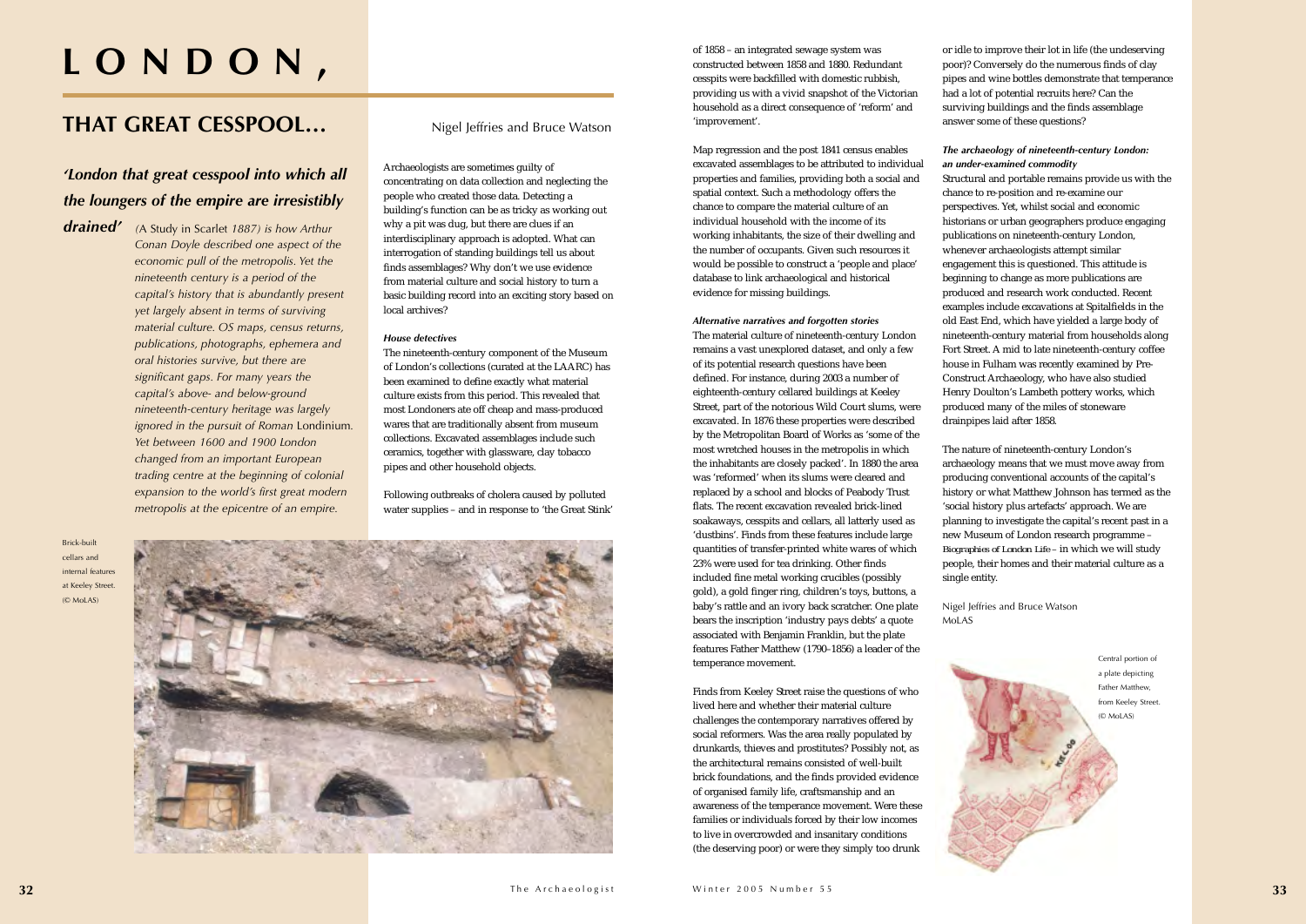# **LONDON,**

### **THAT GREAT CESSPOOL…**

Nigel Jeffries and Bruce Watson

### *'London that great cesspool into which all the loungers of the empire are irresistibly*

*drained' (*A Study in Scarlet *1887) is how Arthur Conan Doyle described one aspect of the economic pull of the metropolis. Yet the nineteenth century is a period of the capital's history that is abundantly present yet largely absent in terms of surviving material culture. OS maps, census returns, publications, photographs, ephemera and oral histories survive, but there are significant gaps. For many years the capital's above- and below-ground nineteenth-century heritage was largely ignored in the pursuit of Roman* Londinium*. Yet between 1600 and 1900 London changed from an important European trading centre at the beginning of colonial expansion to the world's first great modern metropolis at the epicentre of an empire.*

Archaeologists are sometimes guilty of concentrating on data collection and neglecting the people who created those data. Detecting a building's function can be as tricky as working out why a pit was dug, but there are clues if an interdisciplinary approach is adopted. What can interrogation of standing buildings tell us about finds assemblages? Why don't we use evidence from material culture and social history to turn a basic building record into an exciting story based on local archives?

#### *House detectives*

The nineteenth-century component of the Museum of London's collections (curated at the LAARC) has been examined to define exactly what material culture exists from this period. This revealed that most Londoners ate off cheap and mass-produced wares that are traditionally absent from museum collections. Excavated assemblages include such ceramics, together with glassware, clay tobacco pipes and other household objects.

Following outbreaks of cholera caused by polluted water supplies – and in response to 'the Great Stink' of 1858 – an integrated sewage system was constructed between 1858 and 1880. Redundant cesspits were backfilled with domestic rubbish, providing us with a vivid snapshot of the Victorian household as a direct consequence of 'reform' and 'improvement'.

Map regression and the post 1841 census enables excavated assemblages to be attributed to individual properties and families, providing both a social and spatial context. Such a methodology offers the chance to compare the material culture of an individual household with the income of its working inhabitants, the size of their dwelling and the number of occupants. Given such resources it would be possible to construct a 'people and place' database to link archaeological and historical evidence for missing buildings.

#### *Alternative narratives and forgotten stories*

The material culture of nineteenth-century London remains a vast unexplored dataset, and only a few of its potential research questions have been defined. For instance, during 2003 a number of eighteenth-century cellared buildings at Keeley Street, part of the notorious Wild Court slums, were excavated. In 1876 these properties were described by the Metropolitan Board of Works as 'some of the most wretched houses in the metropolis in which the inhabitants are closely packed'. In 1880 the area was 'reformed' when its slums were cleared and replaced by a school and blocks of Peabody Trust flats. The recent excavation revealed brick-lined soakaways, cesspits and cellars, all latterly used as 'dustbins'. Finds from these features include large quantities of transfer-printed white wares of which 23% were used for tea drinking. Other finds included fine metal working crucibles (possibly gold), a gold finger ring, children's toys, buttons, a baby's rattle and an ivory back scratcher. One plate bears the inscription 'industry pays debts' a quote associated with Benjamin Franklin, but the plate features Father Matthew (1790–1856) a leader of the temperance movement.

Finds from Keeley Street raise the questions of who lived here and whether their material culture challenges the contemporary narratives offered by social reformers. Was the area really populated by drunkards, thieves and prostitutes? Possibly not, as the architectural remains consisted of well-built brick foundations, and the finds provided evidence of organised family life, craftsmanship and an awareness of the temperance movement. Were these families or individuals forced by their low incomes to live in overcrowded and insanitary conditions (the deserving poor) or were they simply too drunk

or idle to improve their lot in life (the undeserving poor)? Conversely do the numerous finds of clay pipes and wine bottles demonstrate that temperance had a lot of potential recruits here? Can the

surviving buildings and the finds assemblage answer some of these questions? *The archaeology of nineteenth-century London: an under-examined commodity* Structural and portable remains provide us with the chance to re-position and re-examine our perspectives. Yet, whilst social and economic historians or urban geographers produce engaging publications on nineteenth-century London, whenever archaeologists attempt similar engagement this is questioned. This attitude is beginning to change as more publications are produced and research work conducted. Recent examples include excavations at Spitalfields in the old East End, which have yielded a large body of nineteenth-century material from households along Fort Street. A mid to late nineteenth-century coffee house in Fulham was recently examined by Pre-Construct Archaeology, who have also studied Henry Doulton's Lambeth pottery works, which produced many of the miles of stoneware drainpipes laid after 1858.

The nature of nineteenth-century London's archaeology means that we must move away from producing conventional accounts of the capital's history or what Matthew Johnson has termed as the 'social history plus artefacts' approach. We are planning to investigate the capital's recent past in a new Museum of London research programme – *Biographies of London Life –* in which we will study people, their homes and their material culture as a

single entity.

Nigel Jeffries and Bruce Watson

MoLAS



Central portion of a plate depicting Father Matthew, from Keeley Street. (© MoLAS)

Brick-builtcellars and internal featuresat Keeley Street. (© MoLAS)

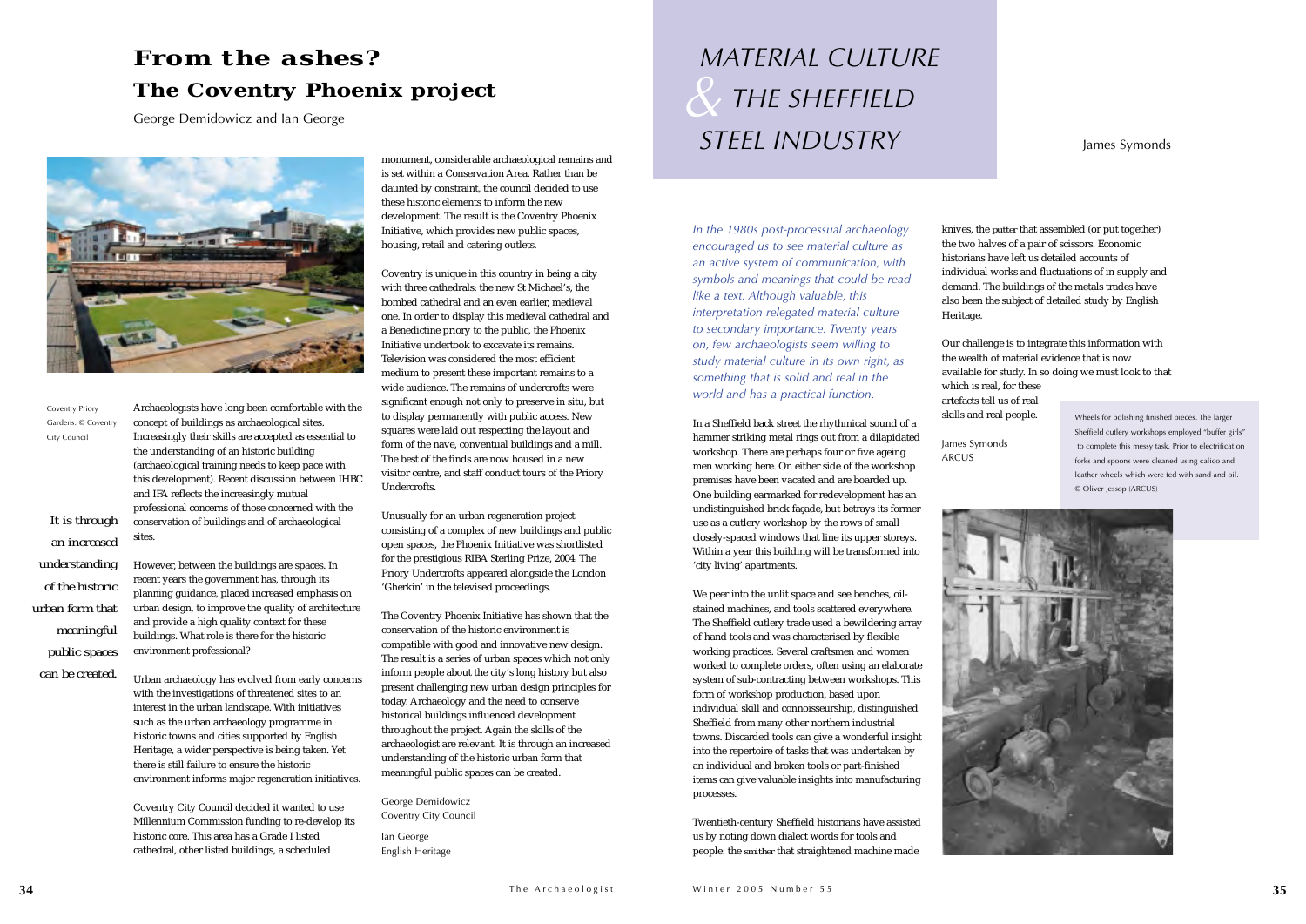*In the 1980s post-processual archaeology encouraged us to see material culture as an active system of communication, with symbols and meanings that could be read like a text. Although valuable, this interpretation relegated material culture to secondary importance. Twenty years on, few archaeologists seem willing to study material culture in its own right, as something that is solid and real in the world and has a practical function.*

In a Sheffield back street the rhythmical sound of a hammer striking metal rings out from a dilapidated workshop. There are perhaps four or five ageing men working here. On either side of the workshop premises have been vacated and are boarded up. One building earmarked for redevelopment has an undistinguished brick façade, but betrays its former use as a cutlery workshop by the rows of small closely-spaced windows that line its upper storeys. Within a year this building will be transformed into 'city living' apartments.

We peer into the unlit space and see benches, oilstained machines, and tools scattered everywhere. The Sheffield cutlery trade used a bewildering array of hand tools and was characterised by flexible working practices. Several craftsmen and women worked to complete orders, often using an elaborate system of sub-contracting between workshops. This form of workshop production, based upon individual skill and connoisseurship, distinguished Sheffield from many other northern industrial towns. Discarded tools can give a wonderful insight into the repertoire of tasks that was undertaken by an individual and broken tools or part-finished items can give valuable insights into manufacturing processes.

Twentieth-century Sheffield historians have assisted us by noting down dialect words for tools and people: the *smither* that straightened machine made

knives, the *putter* that assembled (or put together) the two halves of a pair of scissors. Economic historians have left us detailed accounts of individual works and fluctuations of in supply and demand. The buildings of the metals trades have also been the subject of detailed study by English

Heritage.

Our challenge is to integrate this information with the wealth of material evidence that is now available for study. In so doing we must look to that

which is real, for these artefacts tell us of real skills and real people.

James Symonds ARCUS



Archaeologists have long been comfortable with the concept of buildings as archaeological sites. Increasingly their skills are accepted as essential to the understanding of an historic building (archaeological training needs to keep pace with this development). Recent discussion between IHBC and IFA reflects the increasingly mutual professional concerns of those concerned with the conservation of buildings and of archaeological sites.

### *& MATERIAL CULTURE THE SHEFFIELD STEEL INDUSTRY*

However, between the buildings are spaces. In recent years the government has, through its planning guidance, placed increased emphasis on urban design, to improve the quality of architecture and provide a high quality context for these buildings. What role is there for the historic environment professional?

Urban archaeology has evolved from early concerns with the investigations of threatened sites to an interest in the urban landscape. With initiatives such as the urban archaeology programme in historic towns and cities supported by English Heritage, a wider perspective is being taken. Yet there is still failure to ensure the historic environment informs major regeneration initiatives.

Coventry City Council decided it wanted to use Millennium Commission funding to re-develop its historic core. This area has a Grade I listed cathedral, other listed buildings, a scheduled

monument, considerable archaeological remains and is set within a Conservation Area. Rather than be daunted by constraint, the council decided to use these historic elements to inform the new development. The result is the Coventry Phoenix Initiative, which provides new public spaces, housing, retail and catering outlets.

Coventry is unique in this country in being a city with three cathedrals: the new St Michael's, the bombed cathedral and an even earlier, medieval one. In order to display this medieval cathedral and a Benedictine priory to the public, the Phoenix Initiative undertook to excavate its remains.Television was considered the most efficient medium to present these important remains to a wide audience. The remains of undercrofts were significant enough not only to preserve in situ, but to display permanently with public access. New squares were laid out respecting the layout and form of the nave, conventual buildings and a mill. The best of the finds are now housed in a new visitor centre, and staff conduct tours of the Priory Undercrofts.

Unusually for an urban regeneration project consisting of a complex of new buildings and public open spaces, the Phoenix Initiative was shortlisted for the prestigious RIBA Sterling Prize, 2004. The Priory Undercrofts appeared alongside the London 'Gherkin' in the televised proceedings.

The Coventry Phoenix Initiative has shown that the conservation of the historic environment is compatible with good and innovative new design. The result is a series of urban spaces which not only inform people about the city's long history but also present challenging new urban design principles for today. Archaeology and the need to conserve historical buildings influenced development throughout the project. Again the skills of the archaeologist are relevant. It is through an increased understanding of the historic urban form that meaningful public spaces can be created.

George Demidowicz Coventry City Council

Ian George English Heritage

### *From the ashes?*  **The Coventry Phoenix project**

George Demidowicz and Ian George



#### James Symonds

Coventry Priory Gardens. © Coventry City Council

*It is through an increasedunderstanding of the historic urban form thatmeaningful public spaces can be created.*

Wheels for polishing finished pieces. The larger Sheffield cutlery workshops employed "buffer girls" to complete this messy task. Prior to electrification forks and spoons were cleaned using calico and leather wheels which were fed with sand and oil. © Oliver Jessop (ARCUS)

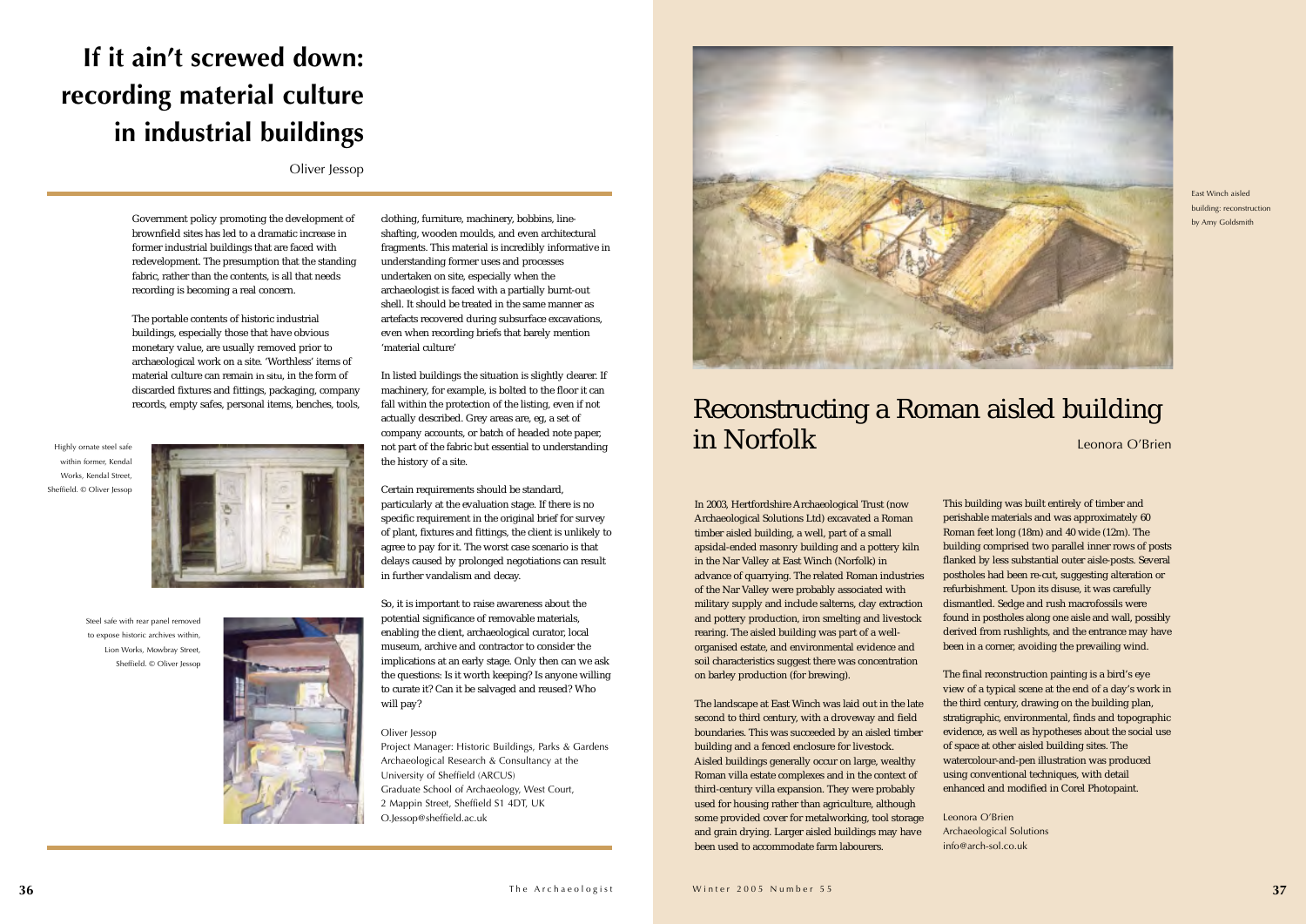In 2003, Hertfordshire Archaeological Trust (now Archaeological Solutions Ltd) excavated a Roman timber aisled building, a well, part of a small apsidal-ended masonry building and a pottery kiln in the Nar Valley at East Winch (Norfolk) in advance of quarrying. The related Roman industries of the Nar Valley were probably associated with military supply and include salterns, clay extraction and pottery production, iron smelting and livestock rearing. The aisled building was part of a wellorganised estate, and environmental evidence and soil characteristics suggest there was concentration on barley production (for brewing).

The landscape at East Winch was laid out in the late second to third century, with a droveway and field boundaries. This was succeeded by an aisled timber building and a fenced enclosure for livestock. Aisled buildings generally occur on large, wealthy Roman villa estate complexes and in the context of third-century villa expansion. They were probably used for housing rather than agriculture, although some provided cover for metalworking, tool storage and grain drying. Larger aisled buildings may have been used to accommodate farm labourers.

This building was built entirely of timber and perishable materials and was approximately 60 Roman feet long (18m) and 40 wide (12m). The building comprised two parallel inner rows of posts flanked by less substantial outer aisle-posts. Several postholes had been re-cut, suggesting alteration or refurbishment. Upon its disuse, it was carefully dismantled. Sedge and rush macrofossils were found in postholes along one aisle and wall, possibly derived from rushlights, and the entrance may have been in a corner, avoiding the prevailing wind.

The final reconstruction painting is a bird's eye view of a typical scene at the end of a day's work in the third century, drawing on the building plan, stratigraphic, environmental, finds and topographic evidence, as well as hypotheses about the social use of space at other aisled building sites. The watercolour-and-pen illustration was produced using conventional techniques, with detail enhanced and modified in Corel Photopaint.

Leonora O'BrienArchaeological Solutions info@arch-sol.co.uk

Highly ornate steel safe within former, Kendal Works, Kendal Street, Sheffield. © Oliver Jessop



Government policy promoting the development of brownfield sites has led to a dramatic increase in former industrial buildings that are faced with redevelopment. The presumption that the standing fabric, rather than the contents, is all that needs recording is becoming a real concern.

The portable contents of historic industrial buildings, especially those that have obvious monetary value, are usually removed prior to archaeological work on a site. 'Worthless' items of material culture can remain *in situ*, in the form of discarded fixtures and fittings, packaging, company records, empty safes, personal items, benches, tools, clothing, furniture, machinery, bobbins, lineshafting, wooden moulds, and even architectural fragments. This material is incredibly informative in understanding former uses and processes undertaken on site, especially when the archaeologist is faced with a partially burnt-out shell. It should be treated in the same manner as artefacts recovered during subsurface excavations, even when recording briefs that barely mention 'material culture'

In listed buildings the situation is slightly clearer. If machinery, for example, is bolted to the floor it can fall within the protection of the listing, even if not actually described. Grey areas are, eg, a set of company accounts, or batch of headed note paper, not part of the fabric but essential to understanding the history of a site.

Certain requirements should be standard, particularly at the evaluation stage. If there is no specific requirement in the original brief for survey of plant, fixtures and fittings, the client is unlikely to agree to pay for it. The worst case scenario is that delays caused by prolonged negotiations can result in further vandalism and decay.

So, it is important to raise awareness about the potential significance of removable materials, enabling the client, archaeological curator, local museum, archive and contractor to consider the implications at an early stage. Only then can we ask the questions: Is it worth keeping? Is anyone willing to curate it? Can it be salvaged and reused? Who will pay?

#### Oliver Jessop

Project Manager: Historic Buildings, Parks & Gardens Archaeological Research & Consultancy at the University of Sheffield (ARCUS) Graduate School of Archaeology, West Court, 2 Mappin Street, Sheffield S1 4DT, UK O.Jessop@sheffield.ac.uk



### Reconstructing a Roman aisled building in NorfolkLeonora O'Brien

### **If it ain't screwed down: recording material culture in industrial buildings**

Oliver Jessop

Steel safe with rear panel removed to expose historic archives within Lion Works, Mowbray Street, Sheffield. © Oliver Jessop



East Winch aisledbuilding: reconstruction by Amy Goldsmith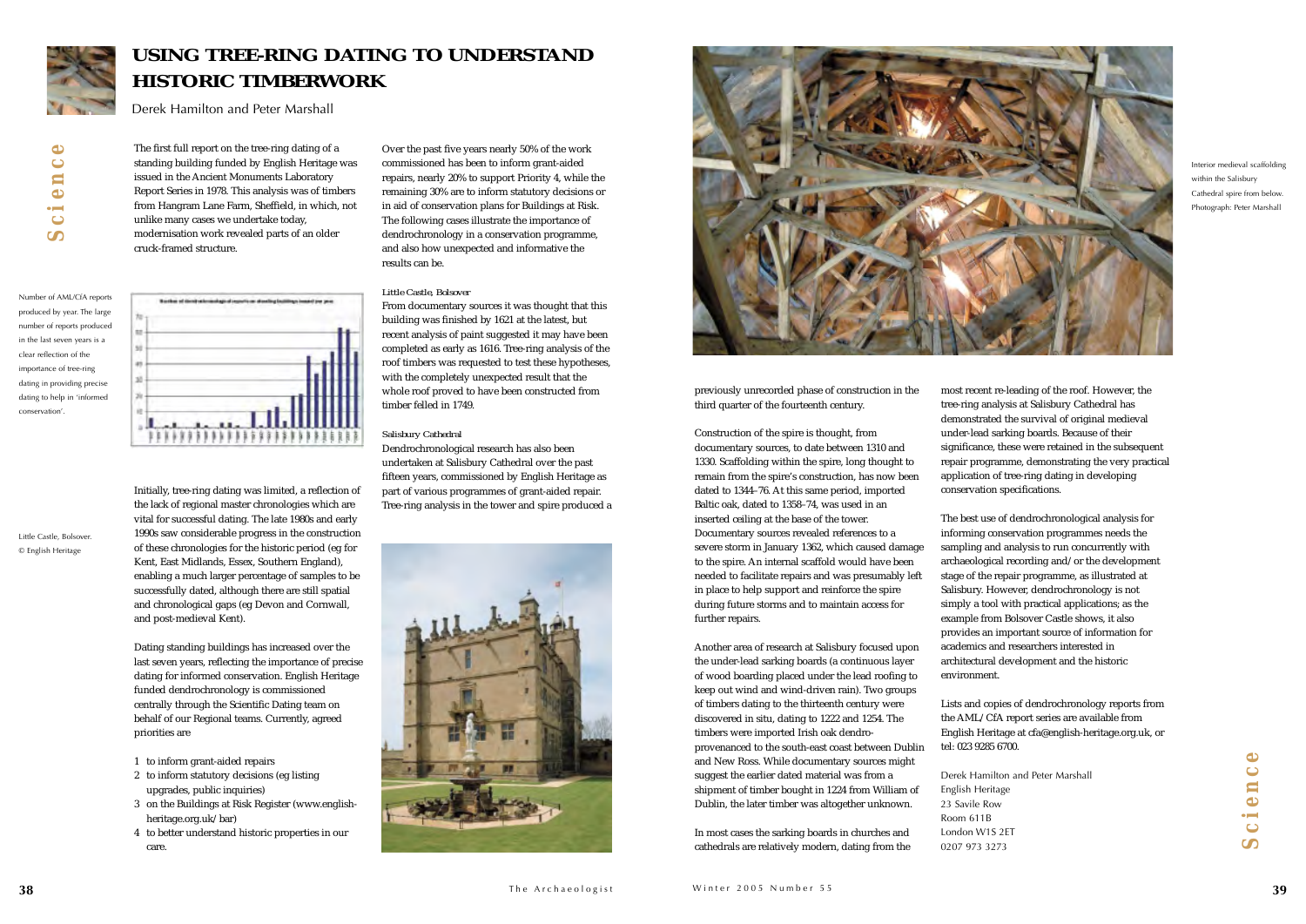previously unrecorded phase of construction in the third quarter of the fourteenth century.

Construction of the spire is thought, from documentary sources, to date between 1310 and 1330. Scaffolding within the spire, long thought to remain from the spire's construction, has now been dated to 1344–76. At this same period, imported Baltic oak, dated to 1358–74, was used in an inserted ceiling at the base of the tower. Documentary sources revealed references to a severe storm in January 1362, which caused damage to the spire. An internal scaffold would have been needed to facilitate repairs and was presumably left in place to help support and reinforce the spire during future storms and to maintain access for further repairs.

Another area of research at Salisbury focused upon the under-lead sarking boards (a continuous layer of wood boarding placed under the lead roofing to keep out wind and wind-driven rain). Two groups of timbers dating to the thirteenth century were discovered in situ, dating to 1222 and 1254. The timbers were imported Irish oak dendroprovenanced to the south-east coast between Dublin and New Ross. While documentary sources might suggest the earlier dated material was from a shipment of timber bought in 1224 from William of Dublin, the later timber was altogether unknown.

In most cases the sarking boards in churches and cathedrals are relatively modern, dating from the most recent re-leading of the roof. However, the tree-ring analysis at Salisbury Cathedral has demonstrated the survival of original medieval under-lead sarking boards. Because of their significance, these were retained in the subsequent repair programme, demonstrating the very practical application of tree-ring dating in developing conservation specifications.

The best use of dendrochronological analysis for informing conservation programmes needs the sampling and analysis to run concurrently with archaeological recording and/or the development stage of the repair programme, as illustrated at Salisbury. However, dendrochronology is not simply a tool with practical applications; as the example from Bolsover Castle shows, it also provides an important source of information for academics and researchers interested in architectural development and the historic environment.

Lists and copies of dendrochronology reports from the AML/CfA report series are available from English Heritage at cfa@english-heritage.org.uk, or tel: 023 9285 6700.

Derek Hamilton and Peter MarshallEnglish Heritage 23 Savile Row Room 611B London W1S 2ET0207 973 3273

*Science*  $\bullet$  $\mathbf{u}$  $\blacksquare$  $\bullet$  $\bullet$ 

The first full report on the tree-ring dating of a standing building funded by English Heritage was issued in the Ancient Monuments Laboratory Report Series in 1978. This analysis was of timbers from Hangram Lane Farm, Sheffield, in which, not unlike many cases we undertake today, modernisation work revealed parts of an older cruck-framed structure.

erken of dientrade medaginal egentis an aluseling festilings issued per pear

Initially, tree-ring dating was limited, a reflection of the lack of regional master chronologies which are vital for successful dating. The late 1980s and early 1990s saw considerable progress in the construction of these chronologies for the historic period (eg for Kent, East Midlands, Essex, Southern England), enabling a much larger percentage of samples to be successfully dated, although there are still spatial and chronological gaps (eg Devon and Cornwall,

333333

and post-medieval Kent).

Dating standing buildings has increased over the last seven years, reflecting the importance of precise dating for informed conservation. English Heritage funded dendrochronology is commissioned centrally through the Scientific Dating team on behalf of our Regional teams. Currently, agreed

priorities are

1 to inform grant-aided repairs

2 to inform statutory decisions (eg listing

upgrades, public inquiries)

3 on the Buildings at Risk Register (www.english-

heritage.org.uk/bar)

4 to better understand historic properties in our

care.

Over the past five years nearly 50% of the work commissioned has been to inform grant-aided repairs, nearly 20% to support Priority 4, while the remaining 30% are to inform statutory decisions or in aid of conservation plans for Buildings at Risk. The following cases illustrate the importance of dendrochronology in a conservation programme, and also how unexpected and informative the results can be.

#### *Little Castle, Bolsover*

From documentary sources it was thought that this building was finished by 1621 at the latest, but recent analysis of paint suggested it may have been completed as early as 1616. Tree-ring analysis of the roof timbers was requested to test these hypotheses, with the completely unexpected result that the whole roof proved to have been constructed from timber felled in 1749.

#### *Salisbury Cathedral*

Dendrochronological research has also been undertaken at Salisbury Cathedral over the past fifteen years, commissioned by English Heritage as part of various programmes of grant-aided repair. Tree-ring analysis in the tower and spire produced a







### **USING TREE-RING DATING TO UNDERSTANDHISTORIC TIMBERWORK**

Derek Hamilton and Peter Marshall

 $\bullet$ *Science*  $\overline{C}$ e n  $\blacksquare$  $\bullet$  $\bullet$ 

Number of AML/CfA reports produced by year. The large number of reports produced in the last seven years is a clear reflection of theimportance of tree-ring dating in providing precise dating to help in 'informed conservation'.

Interior medieval scaffolding within the Salisbury Cathedral spire from below. Photograph: Peter Marshall

Little Castle, Bolsover. © English Heritage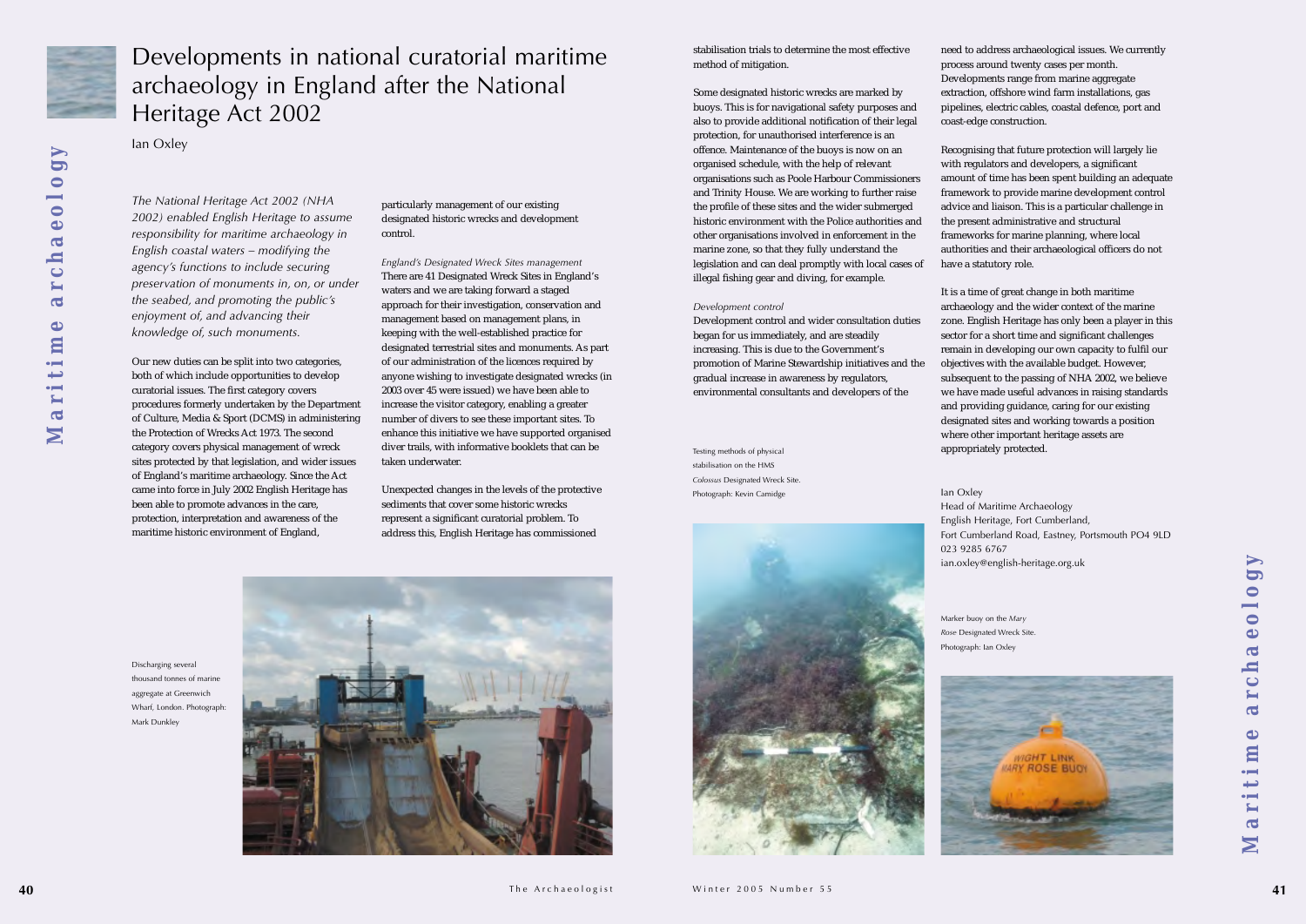

 $\blacktriangleright$ **OO** 

*The National Heritage Act 2002 (NHA 2002) enabled English Heritage to assume responsibility for maritime archaeology in English coastal waters – modifying the agency's functions to include securing preservation of monuments in, on, or under the seabed, and promoting the public's enjoyment of, and advancing their knowledge of, such monuments.*

Our new duties can be split into two categories, both of which include opportunities to develop curatorial issues. The first category covers procedures formerly undertaken by the Department of Culture, Media & Sport (DCMS) in administering the Protection of Wrecks Act 1973. The second category covers physical management of wreck sites protected by that legislation, and wider issues of England's maritime archaeology. Since the Act came into force in July 2002 English Heritage has been able to promote advances in the care, protection, interpretation and awareness of the maritime historic environment of England,

particularly management of our existing designated historic wrecks and development control.

*England's Designated Wreck Sites management* There are 41 Designated Wreck Sites in England's waters and we are taking forward a staged approach for their investigation, conservation and management based on management plans, in keeping with the well-established practice for designated terrestrial sites and monuments. As part of our administration of the licences required by anyone wishing to investigate designated wrecks (in 2003 over 45 were issued) we have been able to increase the visitor category, enabling a greater number of divers to see these important sites. To enhance this initiative we have supported organised diver trails, with informative booklets that can be taken underwater.

Unexpected changes in the levels of the protective sediments that cover some historic wrecks represent a significant curatorial problem. To address this, English Heritage has commissioned

stabilisation trials to determine the most effectivemethod of mitigation.

Some designated historic wrecks are marked by buoys. This is for navigational safety purposes and also to provide additional notification of their legal protection, for unauthorised interference is an offence. Maintenance of the buoys is now on an organised schedule, with the help of relevant organisations such as Poole Harbour Commissioners and Trinity House. We are working to further raise the profile of these sites and the wider submerged historic environment with the Police authorities and other organisations involved in enforcement in the marine zone, so that they fully understand the legislation and can deal promptly with local cases of illegal fishing gear and diving, for example.

> *Maritime archaeology* $\blacktriangleright$ **PC** chaeolo  $\overline{\mathbf{a}}$  $\bullet$ aritim M

#### *Development control*

Development control and wider consultation duties began for us immediately, and are steadily increasing. This is due to the Government's promotion of Marine Stewardship initiatives and the gradual increase in awareness by regulators, environmental consultants and developers of the

need to address archaeological issues. We currently process around twenty cases per month. Developments range from marine aggregate extraction, offshore wind farm installations, gas pipelines, electric cables, coastal defence, port and coast-edge construction.

Recognising that future protection will largely lie with regulators and developers, a significant amount of time has been spent building an adequate framework to provide marine development control advice and liaison. This is a particular challenge in the present administrative and structural frameworks for marine planning, where local authorities and their archaeological officers do not have a statutory role.

It is a time of great change in both maritime archaeology and the wider context of the marine zone. English Heritage has only been a player in this sector for a short time and significant challenges remain in developing our own capacity to fulfil our objectives with the available budget. However, subsequent to the passing of NHA 2002, we believe we have made useful advances in raising standards and providing guidance, caring for our existing designated sites and working towards a position where other important heritage assets are appropriately protected.

Ian Oxley 023 9285 6767

Head of Maritime Archaeology English Heritage, Fort Cumberland, Fort Cumberland Road, Eastney, Portsmouth PO4 9LD ian.oxley@english-heritage.org.uk

### Developments in national curatorial maritime archaeology in England after the National Heritage Act 2002

Ian Oxley

Testing methods of physical stabilisation on the HMS*Colossus* Designated Wreck Site. Photograph: Kevin Camidge



Marker buoy on the *Mary Rose* Designated Wreck Site.

Photograph: Ian Oxley



Discharging several thousand tonnes of marine aggregate at Greenwich Wharf, London. Photograph: Mark Dunkley



*Maritime archaeology*

Maritime

archaeolo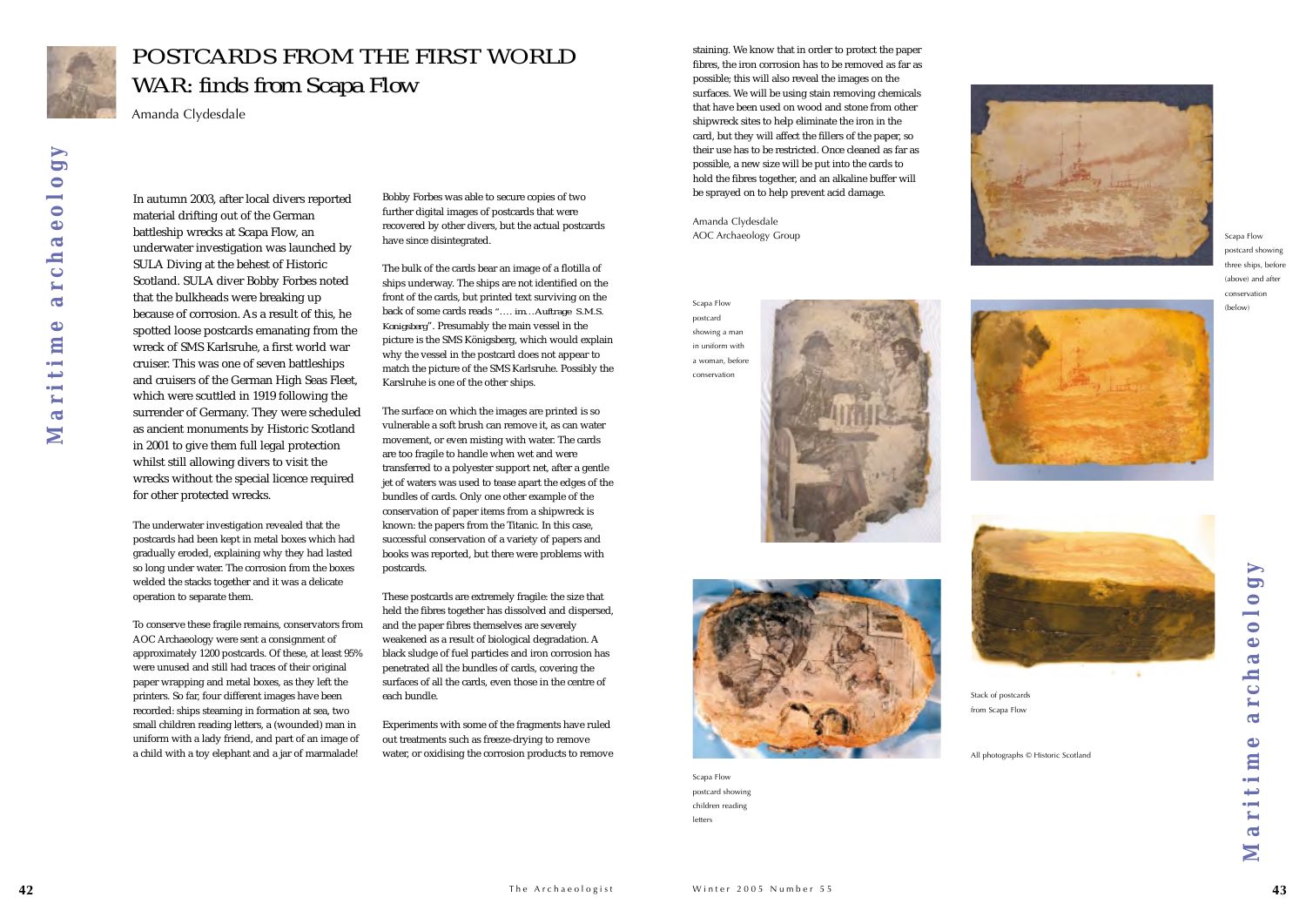In autumn 2003, after local divers reported material drifting out of the German battleship wrecks at Scapa Flow, an underwater investigation was launched by SULA Diving at the behest of Historic Scotland. SULA diver Bobby Forbes noted that the bulkheads were breaking up because of corrosion. As a result of this, he spotted loose postcards emanating from the wreck of SMS Karlsruhe, a first world war cruiser. This was one of seven battleships and cruisers of the German High Seas Fleet, which were scuttled in 1919 following the surrender of Germany. They were scheduled as ancient monuments by Historic Scotland in 2001 to give them full legal protection whilst still allowing divers to visit the wrecks without the special licence required for other protected wrecks.

The underwater investigation revealed that the postcards had been kept in metal boxes which had gradually eroded, explaining why they had lasted so long under water. The corrosion from the boxes welded the stacks together and it was a delicate operation to separate them.

To conserve these fragile remains, conservators from AOC Archaeology were sent a consignment of approximately 1200 postcards. Of these, at least 95% were unused and still had traces of their original paper wrapping and metal boxes, as they left the printers. So far, four different images have been recorded: ships steaming in formation at sea, two small children reading letters, a (wounded) man in uniform with a lady friend, and part of an image of a child with a toy elephant and a jar of marmalade!

Bobby Forbes was able to secure copies of two further digital images of postcards that were recovered by other divers, but the actual postcards have since disintegrated.

The bulk of the cards bear an image of a flotilla of ships underway. The ships are not identified on the front of the cards, but printed text surviving on the back of some cards reads *"…. im…Auftrage S.M.S. Konigsberg*". Presumably the main vessel in the picture is the SMS Königsberg, which would explain why the vessel in the postcard does not appear to match the picture of the SMS Karlsruhe. Possibly the Karslruhe is one of the other ships.

*Maritime archaeology***OO**  $\bullet$  $\overline{\mathbf{0}}$  $\ddot{\bullet}$  $\overline{a}$  $\ddot{\phantom{0}}$  $\overline{\mathbf{c}}$  $\bullet$ aritim N

The surface on which the images are printed is so vulnerable a soft brush can remove it, as can water movement, or even misting with water. The cards are too fragile to handle when wet and were transferred to a polyester support net, after a gentle jet of waters was used to tease apart the edges of the bundles of cards. Only one other example of the conservation of paper items from a shipwreck is known: the papers from the Titanic. In this case, successful conservation of a variety of papers and books was reported, but there were problems with postcards.

These postcards are extremely fragile: the size that held the fibres together has dissolved and dispersed, and the paper fibres themselves are severely weakened as a result of biological degradation. A black sludge of fuel particles and iron corrosion has penetrated all the bundles of cards, covering the surfaces of all the cards, even those in the centre of each bundle.

Experiments with some of the fragments have ruled out treatments such as freeze-drying to remove water, or oxidising the corrosion products to remove staining. We know that in order to protect the paper fibres, the iron corrosion has to be removed as far as possible; this will also reveal the images on the surfaces. We will be using stain removing chemicals that have been used on wood and stone from other shipwreck sites to help eliminate the iron in the card, but they will affect the fillers of the paper, so their use has to be restricted. Once cleaned as far as possible, a new size will be put into the cards to hold the fibres together, and an alkaline buffer will be sprayed on to help prevent acid damage.

Amanda Clydesdale AOC Archaeology Group



### *POSTCARDS FROM THE FIRST WORLDWAR: finds from Scapa Flow*

Amanda Clydesdale

Stack of postcards from Scapa Flow

All photographs © Historic Scotland

Scapa Flow postcard showing children reading letters



Scapa Flow postcard showing three ships, before (above) and after conservation





postcard showing a man in uniform witha woman, before conservation



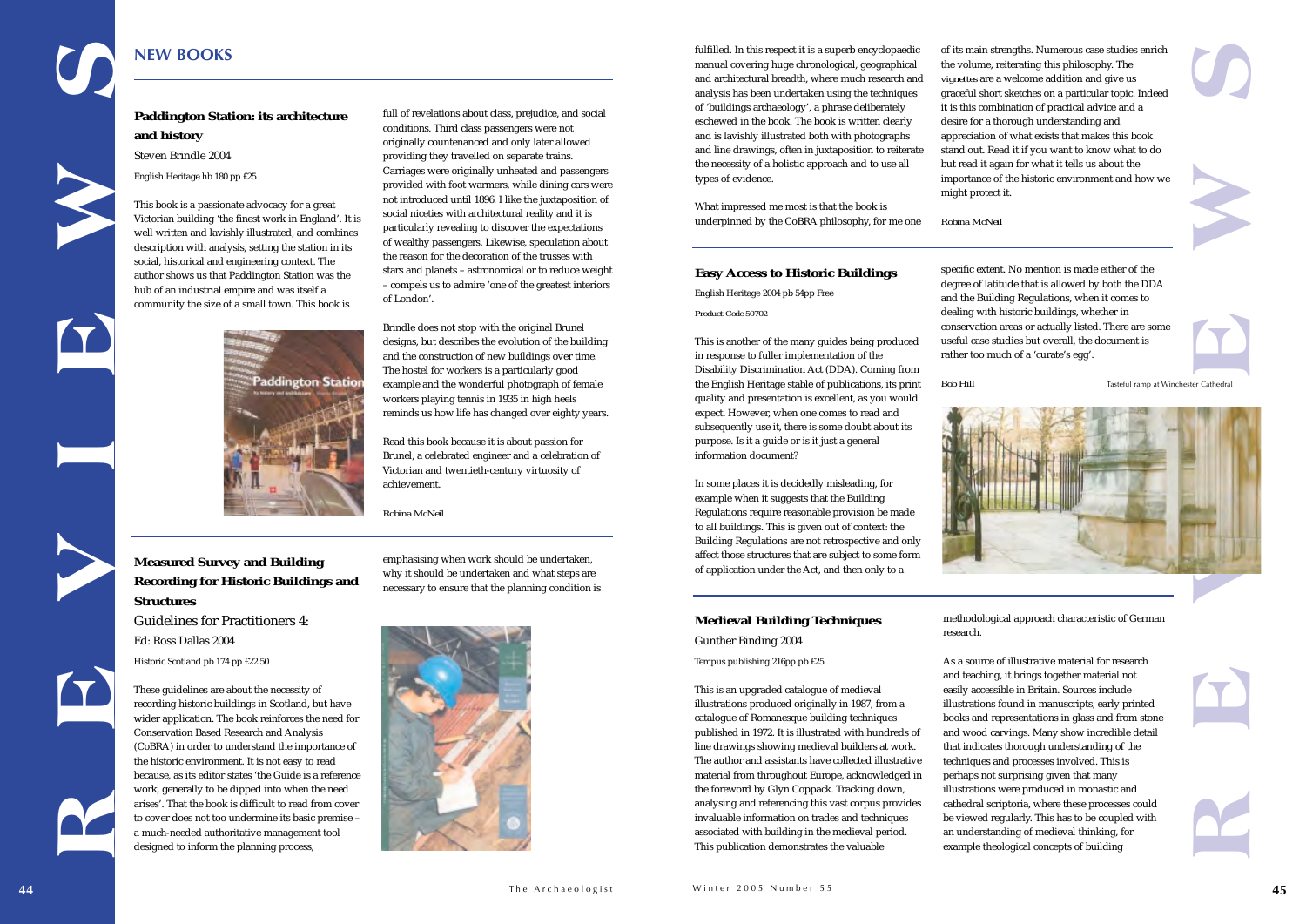of its main strengths. Numerous case studies enrich the volume, reiterating this philosophy. The *vignettes* are a welcome addition and give us graceful short sketches on a particular topic. Indeed it is this combination of practical advice and a desire for a thorough understanding and appreciation of what exists that makes this book stand out. Read it if you want to know what to do but read it again for what it tells us about the importance of the historic environment and how we

might protect it. *Robina McNeil*

#### **Measured Survey and Building Recording for Historic Buildings and Structures**

Guidelines for Practitioners 4:Ed: Ross Dallas 2004 Historic Scotland pb 174 pp £22.50

These guidelines are about the necessity of recording historic buildings in Scotland, but have wider application. The book reinforces the need for Conservation Based Research and Analysis (CoBRA) in order to understand the importance of the historic environment. It is not easy to read because, as its editor states 'the Guide is a reference work, generally to be dipped into when the need arises'. That the book is difficult to read from cover to cover does not too undermine its basic premise – a much-needed authoritative management tool designed to inform the planning process,

emphasising when work should be undertaken, why it should be undertaken and what steps are necessary to ensure that the planning condition is



fulfilled. In this respect it is a superb encyclopaedic manual covering huge chronological, geographical and architectural breadth, where much research and analysis has been undertaken using the techniques of 'buildings archaeology', a phrase deliberately eschewed in the book. The book is written clearly and is lavishly illustrated both with photographs and line drawings, often in juxtaposition to reiterate the necessity of a holistic approach and to use all types of evidence.

full of revelations about class, prejudice, and social conditions. Third class passengers were not originally countenanced and only later allowed providing they travelled on separate trains. Carriages were originally unheated and passengers provided with foot warmers, while dining cars were not introduced until 1896. I like the juxtaposition of social niceties with architectural reality and it is particularly revealing to discover the expectations of wealthy passengers. Likewise, speculation about the reason for the decoration of the trusses with stars and planets – astronomical or to reduce weight – compels us to admire 'one of the greatest interiors of London'. **REVIEWS**<br> **REVIEWS**<br> **REVIEWS**<br> **REVIEWS** 

What impressed me most is that the book is underpinned by the CoBRA philosophy, for me one

> specific extent. No mention is made either of the degree of latitude that is allowed by both the DDA and the Building Regulations, when it comes to dealing with historic buildings, whether in conservation areas or actually listed. There are some useful case studies but overall, the document is rather too much of a 'curate's egg'.



*Bob Hill*



#### **Easy Access to Historic Buildings**

English Heritage 2004 pb 54pp Free *Product Code 50702*

This is another of the many guides being produced in response to fuller implementation of the Disability Discrimination Act (DDA). Coming from the English Heritage stable of publications, its print quality and presentation is excellent, as you would expect. However, when one comes to read and subsequently use it, there is some doubt about its purpose. Is it a guide or is it just a general information document?

In some places it is decidedly misleading, for example when it suggests that the Building Regulations require reasonable provision be made to all buildings. This is given out of context: the Building Regulations are not retrospective and only affect those structures that are subject to some form of application under the Act, and then only to a

#### **Paddington Station: its architecture and history**

Steven Brindle 2004

English Heritage hb 180 pp £25

This book is a passionate advocacy for a great Victorian building 'the finest work in England'. It is well written and lavishly illustrated, and combines description with analysis, setting the station in its social, historical and engineering context. The author shows us that Paddington Station was the hub of an industrial empire and was itself a community the size of a small town. This book is

> Brindle does not stop with the original Brunel designs, but describes the evolution of the building and the construction of new buildings over time. The hostel for workers is a particularly good example and the wonderful photograph of female workers playing tennis in 1935 in high heels reminds us how life has changed over eighty years.

Read this book because it is about passion for Brunel, a celebrated engineer and a celebration of Victorian and twentieth-century virtuosity of achievement.

*Robina McNeil* 

#### **NEW BOOKS**

#### **Medieval Building Techniques**

Gunther Binding 2004

Tempus publishing 216pp pb £25

This is an upgraded catalogue of medieval illustrations produced originally in 1987, from a catalogue of Romanesque building techniques published in 1972. It is illustrated with hundreds of line drawings showing medieval builders at work. The author and assistants have collected illustrative material from throughout Europe, acknowledged in the foreword by Glyn Coppack. Tracking down, analysing and referencing this vast corpus provides invaluable information on trades and techniques associated with building in the medieval period. This publication demonstrates the valuable

methodological approach characteristic of German

As a source of illustrative material for researchand teaching, it brings together material not easily accessible in Britain. Sources include illustrations found in manuscripts, early printed books and representations in glass and from stone and wood carvings. Many show incredible detail that indicates thorough understanding of the techniques and processes involved. This is perhaps not surprising given that many illustrations were produced in monastic and cathedral scriptoria, where these processes could be viewed regularly. This has to be coupled with an understanding of medieval thinking, for



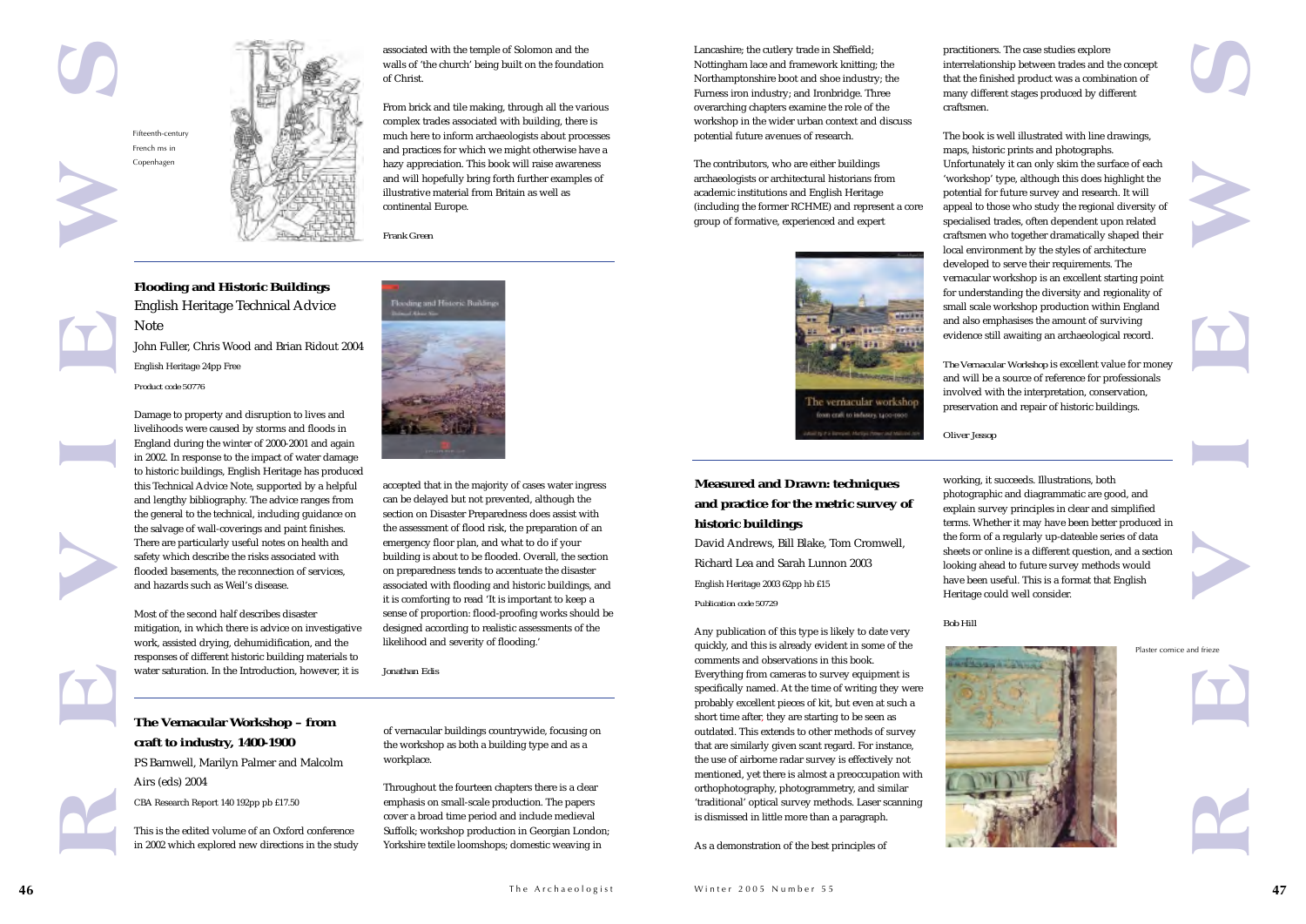**Flooding and Historic Buildings** English Heritage Technical Advice Note

John Fuller, Chris Wood and Brian Ridout 2004 English Heritage 24pp Free

![](_page_23_Picture_16.jpeg)

![](_page_23_Picture_17.jpeg)

Damage to property and disruption to lives and livelihoods were caused by storms and floods in England during the winter of 2000-2001 and again in 2002. In response to the impact of water damage to historic buildings, English Heritage has produced this Technical Advice Note, supported by a helpful and lengthy bibliography. The advice ranges from the general to the technical, including guidance on the salvage of wall-coverings and paint finishes. There are particularly useful notes on health and safety which describe the risks associated with flooded basements, the reconnection of services, and hazards such as Weil's disease.

Most of the second half describes disaster mitigation, in which there is advice on investigative work, assisted drying, dehumidification, and the responses of different historic building materials to water saturation. In the Introduction, however, it is

![](_page_23_Picture_20.jpeg)

accepted that in the majority of cases water ingress can be delayed but not prevented, although the section on Disaster Preparedness does assist with the assessment of flood risk, the preparation of an emergency floor plan, and what to do if your building is about to be flooded. Overall, the section on preparedness tends to accentuate the disaster associated with flooding and historic buildings, and it is comforting to read 'It is important to keep a sense of proportion: flood-proofing works should be designed according to realistic assessments of the likelihood and severity of flooding.'

*Jonathan Edis*

Lancashire; the cutlery trade in Sheffield; Nottingham lace and framework knitting; the Northamptonshire boot and shoe industry; the Furness iron industry; and Ironbridge. Three overarching chapters examine the role of the workshop in the wider urban context and discuss potential future avenues of research.

The contributors, who are either buildings archaeologists or architectural historians from academic institutions and English Heritage (including the former RCHME) and represent a core group of formative, experienced and expert

practitioners. The case studies explore interrelationship between trades and the concept that the finished product was a combination of many different stages produced by different craftsmen.

*The Vernacular Workshop* is excellent value for money and will be a source of reference for professionals involved with the interpretation, conservation, preservation and repair of historic buildings.

#### *Oliver Jessop*

#### **The Vernacular Workshop – from craft to industry, 1400-1900**

PS Barnwell, Marilyn Palmer and Malcolm Airs (eds) 2004

CBA Research Report 140 192pp pb £17.50

This is the edited volume of an Oxford conference in 2002 which explored new directions in the study **Measured and Drawn: techniques and practice for the metric survey of**

**historic buildings**

David Andrews, Bill Blake, Tom Cromwell,

Richard Lea and Sarah Lunnon 2003

English Heritage 2003 62pp hb £15

*Publication code 50729*

![](_page_23_Picture_8.jpeg)

Any publication of this type is likely to date very quickly, and this is already evident in some of the

The book is well illustrated with line drawings, maps, historic prints and photographs. Unfortunately it can only skim the surface of each 'workshop' type, although this does highlight the potential for future survey and research. It will appeal to those who study the regional diversity of specialised trades, often dependent upon related craftsmen who together dramatically shaped their local environment by the styles of architecture developed to serve their requirements. The vernacular workshop is an excellent starting point for understanding the diversity and regionality of small scale workshop production within England and also emphasises the amount of surviving evidence still awaiting an archaeological record. **REVIEWS**Fifteenth-century French ms in Copenhagen Plaster cornice and frieze

comments and observations in this book. Everything from cameras to survey equipment is specifically named. At the time of writing they were probably excellent pieces of kit, but even at such a short time after, they are starting to be seen as outdated. This extends to other methods of survey that are similarly given scant regard. For instance, the use of airborne radar survey is effectively not mentioned, yet there is almost a preoccupation with orthophotography, photogrammetry, and similar 'traditional' optical survey methods. Laser scanning

is dismissed in little more than a paragraph.

As a demonstration of the best principles of

working, it succeeds. Illustrations, both photographic and diagrammatic are good, and explain survey principles in clear and simplified terms. Whether it may have been better produced in the form of a regularly up-dateable series of data sheets or online is a different question, and a section looking ahead to future survey methods would have been useful. This is a format that English Heritage could well consider.

![](_page_23_Figure_38.jpeg)

![](_page_23_Figure_39.jpeg)

![](_page_23_Picture_40.jpeg)

![](_page_23_Picture_41.jpeg)

![](_page_23_Picture_43.jpeg)

*Bob Hill*

![](_page_23_Picture_12.jpeg)

![](_page_23_Picture_13.jpeg)

of vernacular buildings countrywide, focusing on the workshop as both a building type and as a workplace.

Throughout the fourteen chapters there is a clear emphasis on small-scale production. The papers cover a broad time period and include medieval Suffolk; workshop production in Georgian London; Yorkshire textile loomshops; domestic weaving in

![](_page_23_Picture_2.jpeg)

associated with the temple of Solomon and the walls of 'the church' being built on the foundation of Christ.

From brick and tile making, through all the various complex trades associated with building, there is much here to inform archaeologists about processes and practices for which we might otherwise have a hazy appreciation. This book will raise awareness and will hopefully bring forth further examples of illustrative material from Britain as well as continental Europe.

*Frank Green*

![](_page_23_Picture_23.jpeg)